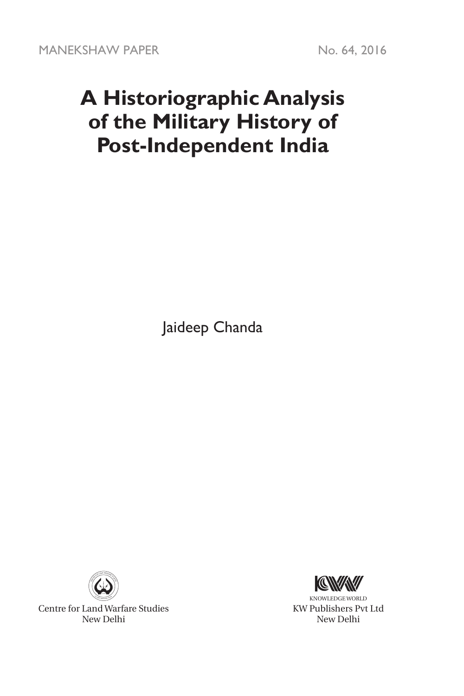# **A Historiographic Analysis of the Military History of Post-Independent India**

Jaideep Chanda



Centre for Land Warfare Studies New Delhi



KNOWLEDGE WORLD KW Publishers Pvt Ltd New Delhi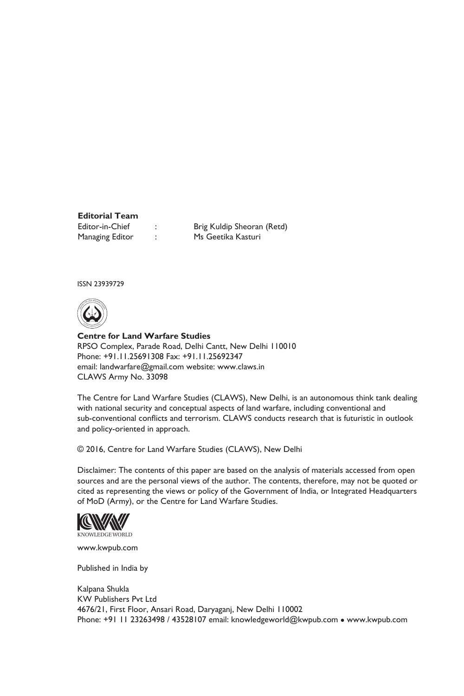## **Editorial Team**

Managing Editor : Ms Geetika Kasturi

Editor-in-Chief : Brig Kuldip Sheoran (Retd)

ISSN 23939729



**Centre for Land Warfare Studies**  RPSO Complex, Parade Road, Delhi Cantt, New Delhi 110010 Phone: +91.11.25691308 Fax: +91.11.25692347 email: landwarfare@gmail.com website: www.claws.in CLAWS Army No. 33098

The Centre for Land Warfare Studies (CLAWS), New Delhi, is an autonomous think tank dealing with national security and conceptual aspects of land warfare, including conventional and sub-conventional conflicts and terrorism. CLAWS conducts research that is futuristic in outlook and policy-oriented in approach.

© 2016, Centre for Land Warfare Studies (CLAWS), New Delhi

Disclaimer: The contents of this paper are based on the analysis of materials accessed from open sources and are the personal views of the author. The contents, therefore, may not be quoted or cited as representing the views or policy of the Government of India, or Integrated Headquarters of MoD (Army), or the Centre for Land Warfare Studies.



www.kwpub.com

Published in India by

Kalpana Shukla KW Publishers Pvt Ltd 4676/21, First Floor, Ansari Road, Daryaganj, New Delhi 110002 Phone: +91 11 23263498 / 43528107 email: knowledgeworld@kwpub.com · www.kwpub.com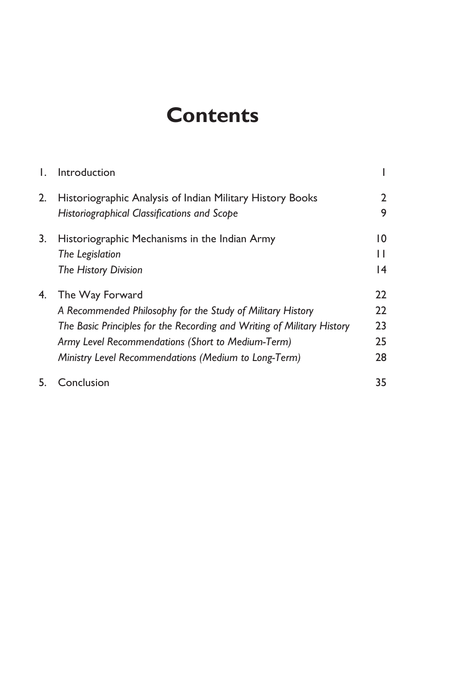# **Contents**

| Ι. | Introduction                                                           |    |
|----|------------------------------------------------------------------------|----|
| 2. | Historiographic Analysis of Indian Military History Books              | 2  |
|    | Historiographical Classifications and Scope                            | 9  |
| 3. | Historiographic Mechanisms in the Indian Army                          | 10 |
|    | The Legislation                                                        | П  |
|    | The History Division                                                   | 4  |
| 4. | The Way Forward                                                        | 22 |
|    | A Recommended Philosophy for the Study of Military History             | 22 |
|    | The Basic Principles for the Recording and Writing of Military History | 23 |
|    | Army Level Recommendations (Short to Medium-Term)                      | 25 |
|    | Ministry Level Recommendations (Medium to Long-Term)                   | 28 |
| 5. | Conclusion                                                             | 35 |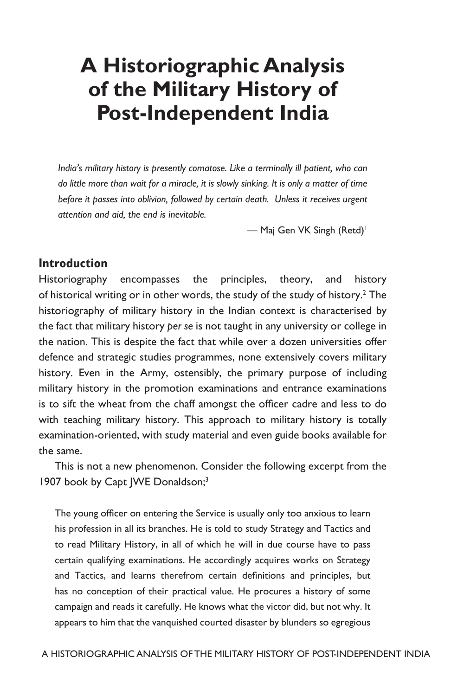# **A Historiographic Analysis of the Military History of Post-Independent India**

*India's military history is presently comatose. Like a terminally ill patient, who can do little more than wait for a miracle, it is slowly sinking. It is only a matter of time before it passes into oblivion, followed by certain death. Unless it receives urgent attention and aid, the end is inevitable.*

- Maj Gen VK Singh (Retd)<sup>1</sup>

#### **Introduction**

Historiography encompasses the principles, theory, and history of historical writing or in other words, the study of the study of history.<sup>2</sup> The historiography of military history in the Indian context is characterised by the fact that military history *per se* is not taught in any university or college in the nation. This is despite the fact that while over a dozen universities offer defence and strategic studies programmes, none extensively covers military history. Even in the Army, ostensibly, the primary purpose of including military history in the promotion examinations and entrance examinations is to sift the wheat from the chaff amongst the officer cadre and less to do with teaching military history. This approach to military history is totally examination-oriented, with study material and even guide books available for the same.

This is not a new phenomenon. Consider the following excerpt from the 1907 book by Capt JWE Donaldson;<sup>3</sup>

The young officer on entering the Service is usually only too anxious to learn his profession in all its branches. He is told to study Strategy and Tactics and to read Military History, in all of which he will in due course have to pass certain qualifying examinations. He accordingly acquires works on Strategy and Tactics, and learns therefrom certain definitions and principles, but has no conception of their practical value. He procures a history of some campaign and reads it carefully. He knows what the victor did, but not why. It appears to him that the vanquished courted disaster by blunders so egregious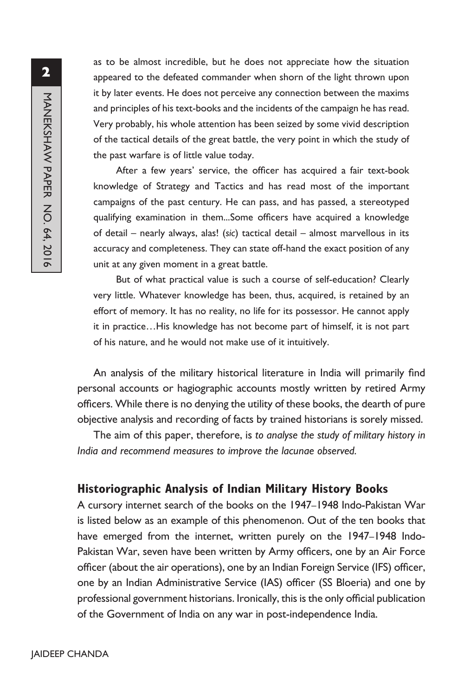as to be almost incredible, but he does not appreciate how the situation appeared to the defeated commander when shorn of the light thrown upon it by later events. He does not perceive any connection between the maxims and principles of his text-books and the incidents of the campaign he has read. Very probably, his whole attention has been seized by some vivid description of the tactical details of the great battle, the very point in which the study of the past warfare is of little value today.

After a few years' service, the officer has acquired a fair text-book knowledge of Strategy and Tactics and has read most of the important campaigns of the past century. He can pass, and has passed, a stereotyped qualifying examination in them...Some officers have acquired a knowledge of detail – nearly always, alas! (*sic*) tactical detail – almost marvellous in its accuracy and completeness. They can state off-hand the exact position of any unit at any given moment in a great battle.

But of what practical value is such a course of self-education? Clearly very little. Whatever knowledge has been, thus, acquired, is retained by an effort of memory. It has no reality, no life for its possessor. He cannot apply it in practice…His knowledge has not become part of himself, it is not part of his nature, and he would not make use of it intuitively.

An analysis of the military historical literature in India will primarily find personal accounts or hagiographic accounts mostly written by retired Army officers. While there is no denying the utility of these books, the dearth of pure objective analysis and recording of facts by trained historians is sorely missed.

The aim of this paper, therefore, is *to analyse the study of military history in India and recommend measures to improve the lacunae observed.*

### **Historiographic Analysis of Indian Military History Books**

A cursory internet search of the books on the 1947–1948 Indo-Pakistan War is listed below as an example of this phenomenon. Out of the ten books that have emerged from the internet, written purely on the 1947–1948 Indo-Pakistan War, seven have been written by Army officers, one by an Air Force officer (about the air operations), one by an Indian Foreign Service (IFS) officer, one by an Indian Administrative Service (IAS) officer (SS Bloeria) and one by professional government historians. Ironically, this is the only official publication of the Government of India on any war in post-independence India.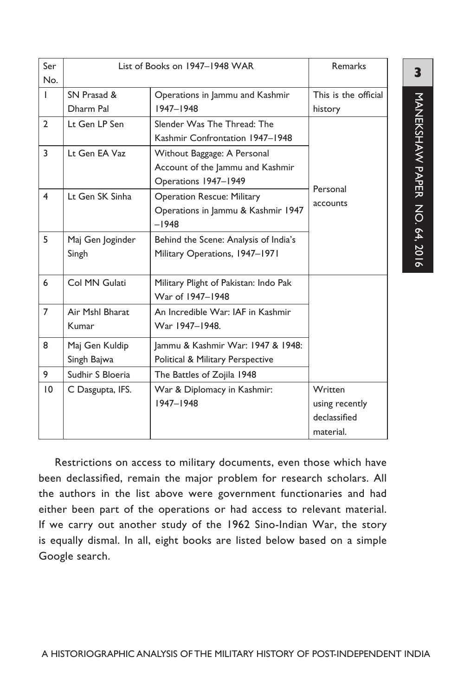| Ser<br>No.     | List of Books on 1947-1948 WAR | <b>Remarks</b>                                                                          |                                                        |
|----------------|--------------------------------|-----------------------------------------------------------------------------------------|--------------------------------------------------------|
| T              | SN Prasad &<br>Dharm Pal       | Operations in Jammu and Kashmir<br>1947-1948                                            | This is the official<br>history                        |
| $\overline{2}$ | Lt Gen LP Sen                  | Slender Was The Thread: The<br>Kashmir Confrontation 1947-1948                          |                                                        |
| 3              | Lt Gen EA Vaz                  | Without Baggage: A Personal<br>Account of the Jammu and Kashmir<br>Operations 1947-1949 | Personal                                               |
| 4              | Lt Gen SK Sinha                | <b>Operation Rescue: Military</b><br>Operations in Jammu & Kashmir 1947<br>$-1948$      | accounts                                               |
| 5              | Maj Gen Joginder<br>Singh      | Behind the Scene: Analysis of India's<br>Military Operations, 1947-1971                 |                                                        |
| 6              | Col MN Gulati                  | Military Plight of Pakistan: Indo Pak<br>War of 1947-1948                               |                                                        |
| $\overline{7}$ | Air Mshl Bharat<br>Kumar       | An Incredible War: IAF in Kashmir<br>War 1947-1948.                                     |                                                        |
| 8              | Maj Gen Kuldip<br>Singh Bajwa  | Jammu & Kashmir War: 1947 & 1948:<br>Political & Military Perspective                   |                                                        |
| 9              | Sudhir S Bloeria               | The Battles of Zojila 1948                                                              |                                                        |
| 10             | C Dasgupta, IFS.               | War & Diplomacy in Kashmir:<br>1947-1948                                                | Written<br>using recently<br>declassified<br>material. |

**3**

Restrictions on access to military documents, even those which have been declassified, remain the major problem for research scholars. All the authors in the list above were government functionaries and had either been part of the operations or had access to relevant material. If we carry out another study of the 1962 Sino-Indian War, the story is equally dismal. In all, eight books are listed below based on a simple Google search.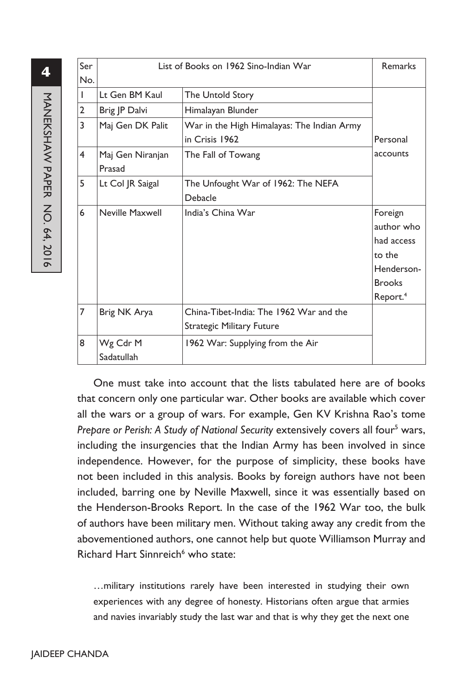| Ser | List of Books on 1962 Sino-Indian War | Remarks                                                                     |                                                                                                      |
|-----|---------------------------------------|-----------------------------------------------------------------------------|------------------------------------------------------------------------------------------------------|
| No. |                                       |                                                                             |                                                                                                      |
|     | Lt Gen BM Kaul                        | The Untold Story                                                            |                                                                                                      |
| 2   | Brig JP Dalvi                         | Himalayan Blunder                                                           |                                                                                                      |
| 3   | Maj Gen DK Palit                      | War in the High Himalayas: The Indian Army<br>in Crisis 1962                | Personal                                                                                             |
| 4   | Maj Gen Niranjan<br>Prasad            | The Fall of Towang                                                          | accounts                                                                                             |
| 5   | Lt Col JR Saigal                      | The Unfought War of 1962: The NEFA<br>Debacle                               |                                                                                                      |
| 6   | Neville Maxwell                       | India's China War                                                           | Foreign<br>author who<br>had access<br>to the<br>Henderson-<br><b>Brooks</b><br>Report. <sup>4</sup> |
| 7   | Brig NK Arya                          | China-Tibet-India: The 1962 War and the<br><b>Strategic Military Future</b> |                                                                                                      |
| 8   | Wg Cdr M<br>Sadatullah                | 1962 War: Supplying from the Air                                            |                                                                                                      |

One must take into account that the lists tabulated here are of books that concern only one particular war. Other books are available which cover all the wars or a group of wars. For example, Gen KV Krishna Rao's tome Prepare or Perish: A Study of National Security extensively covers all four<sup>5</sup> wars, including the insurgencies that the Indian Army has been involved in since independence. However, for the purpose of simplicity, these books have not been included in this analysis. Books by foreign authors have not been included, barring one by Neville Maxwell, since it was essentially based on the Henderson-Brooks Report. In the case of the 1962 War too, the bulk of authors have been military men. Without taking away any credit from the abovementioned authors, one cannot help but quote Williamson Murray and Richard Hart Sinnreich<sup>6</sup> who state:

…military institutions rarely have been interested in studying their own experiences with any degree of honesty. Historians often argue that armies and navies invariably study the last war and that is why they get the next one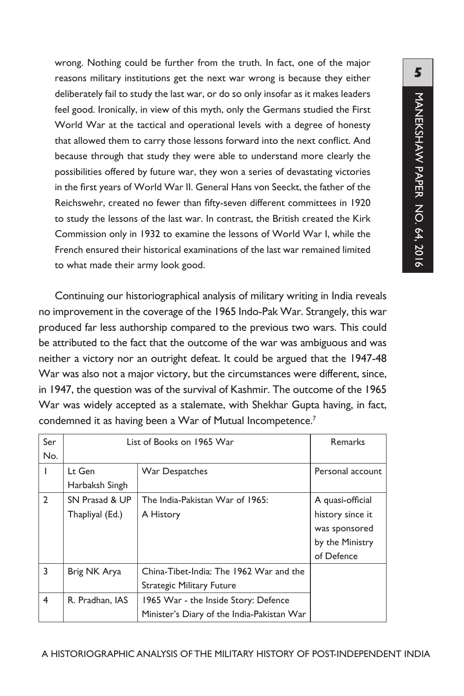**5**MANEKSHAW PAPER NO. 64, 2016 MANEKSHAW PAPER NO. 64, 2016

wrong. Nothing could be further from the truth. In fact, one of the major reasons military institutions get the next war wrong is because they either deliberately fail to study the last war, or do so only insofar as it makes leaders feel good. Ironically, in view of this myth, only the Germans studied the First World War at the tactical and operational levels with a degree of honesty that allowed them to carry those lessons forward into the next conflict. And because through that study they were able to understand more clearly the possibilities offered by future war, they won a series of devastating victories in the first years of World War II. General Hans von Seeckt, the father of the Reichswehr, created no fewer than fifty-seven different committees in 1920 to study the lessons of the last war. In contrast, the British created the Kirk Commission only in 1932 to examine the lessons of World War I, while the French ensured their historical examinations of the last war remained limited to what made their army look good.

Continuing our historiographical analysis of military writing in India reveals no improvement in the coverage of the 1965 Indo-Pak War. Strangely, this war produced far less authorship compared to the previous two wars. This could be attributed to the fact that the outcome of the war was ambiguous and was neither a victory nor an outright defeat. It could be argued that the 1947-48 War was also not a major victory, but the circumstances were different, since, in 1947, the question was of the survival of Kashmir. The outcome of the 1965 War was widely accepted as a stalemate, with Shekhar Gupta having, in fact, condemned it as having been a War of Mutual Incompetence.<sup>7</sup>

| Ser            | List of Books on 1965 War                               | <b>Remarks</b>                             |                  |
|----------------|---------------------------------------------------------|--------------------------------------------|------------------|
| No.            |                                                         |                                            |                  |
|                | Lt Gen                                                  | War Despatches                             | Personal account |
|                | Harbaksh Singh                                          |                                            |                  |
| $\overline{2}$ | SN Prasad & UP                                          | The India-Pakistan War of 1965:            | A quasi-official |
|                | Thapliyal (Ed.)<br>A History                            |                                            | history since it |
|                |                                                         |                                            | was sponsored    |
|                |                                                         |                                            | by the Ministry  |
|                |                                                         |                                            | of Defence       |
| 3              | Brig NK Arya                                            | China-Tibet-India: The 1962 War and the    |                  |
|                |                                                         | <b>Strategic Military Future</b>           |                  |
| 4              | R. Pradhan, IAS<br>1965 War - the Inside Story: Defence |                                            |                  |
|                |                                                         | Minister's Diary of the India-Pakistan War |                  |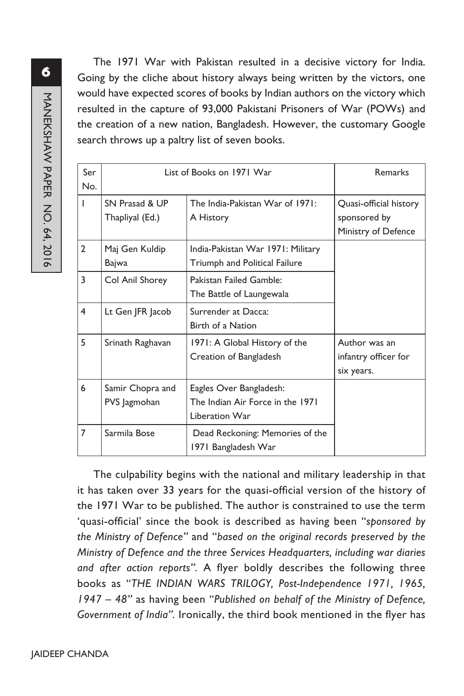The 1971 War with Pakistan resulted in a decisive victory for India. Going by the cliche about history always being written by the victors, one would have expected scores of books by Indian authors on the victory which resulted in the capture of 93,000 Pakistani Prisoners of War (POWs) and the creation of a new nation, Bangladesh. However, the customary Google search throws up a paltry list of seven books.

| Ser<br>No.     | List of Books on 1971 War         | Remarks                                                                       |                                                               |
|----------------|-----------------------------------|-------------------------------------------------------------------------------|---------------------------------------------------------------|
|                | SN Prasad & UP<br>Thapliyal (Ed.) | The India-Pakistan War of 1971:<br>A History                                  | Quasi-official history<br>sponsored by<br>Ministry of Defence |
| $\overline{2}$ | Maj Gen Kuldip<br>Bajwa           | India-Pakistan War 1971: Military<br>Triumph and Political Failure            |                                                               |
| 3              | Col Anil Shorey                   | Pakistan Failed Gamble:<br>The Battle of Laungewala                           |                                                               |
| 4              | Lt Gen JFR Jacob                  | Surrender at Dacca:<br>Birth of a Nation                                      |                                                               |
| 5              | Srinath Raghavan                  | 1971: A Global History of the<br>Creation of Bangladesh                       | Author was an<br>infantry officer for<br>six years.           |
| 6              | Samir Chopra and<br>PVS Jagmohan  | Eagles Over Bangladesh:<br>The Indian Air Force in the 1971<br>Liberation War |                                                               |
| $\overline{7}$ | Sarmila Bose                      | Dead Reckoning: Memories of the<br>1971 Bangladesh War                        |                                                               |

The culpability begins with the national and military leadership in that it has taken over 33 years for the quasi-official version of the history of the 1971 War to be published. The author is constrained to use the term 'quasi-official' since the book is described as having been "*sponsored by the Ministry of Defence"* and "*based on the original records preserved by the Ministry of Defence and the three Services Headquarters, including war diaries and after action reports".* A flyer boldly describes the following three books as "*THE INDIAN WARS TRILOGY, Post-Independence 1971, 1965, 1947 – 48"* as having been "*Published on behalf of the Ministry of Defence, Government of India".* Ironically, the third book mentioned in the flyer has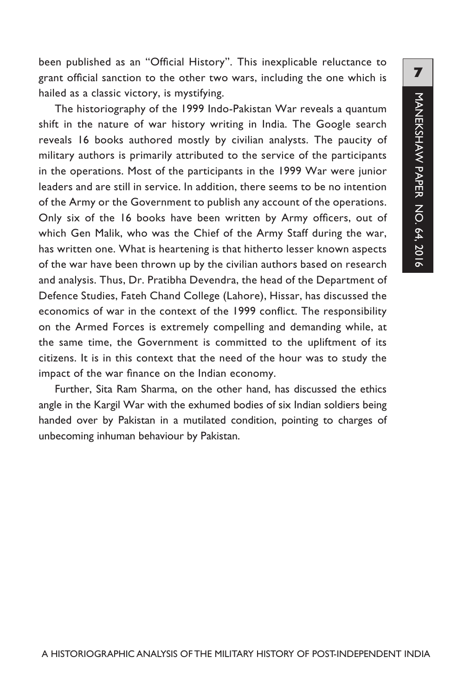been published as an "Official History". This inexplicable reluctance to grant official sanction to the other two wars, including the one which is hailed as a classic victory, is mystifying.

The historiography of the 1999 Indo-Pakistan War reveals a quantum shift in the nature of war history writing in India. The Google search reveals 16 books authored mostly by civilian analysts. The paucity of military authors is primarily attributed to the service of the participants in the operations. Most of the participants in the 1999 War were junior leaders and are still in service. In addition, there seems to be no intention of the Army or the Government to publish any account of the operations. Only six of the 16 books have been written by Army officers, out of which Gen Malik, who was the Chief of the Army Staff during the war, has written one. What is heartening is that hitherto lesser known aspects of the war have been thrown up by the civilian authors based on research and analysis. Thus, Dr. Pratibha Devendra, the head of the Department of Defence Studies, Fateh Chand College (Lahore), Hissar, has discussed the economics of war in the context of the 1999 conflict. The responsibility on the Armed Forces is extremely compelling and demanding while, at the same time, the Government is committed to the upliftment of its citizens. It is in this context that the need of the hour was to study the impact of the war finance on the Indian economy.

Further, Sita Ram Sharma, on the other hand, has discussed the ethics angle in the Kargil War with the exhumed bodies of six Indian soldiers being handed over by Pakistan in a mutilated condition, pointing to charges of unbecoming inhuman behaviour by Pakistan.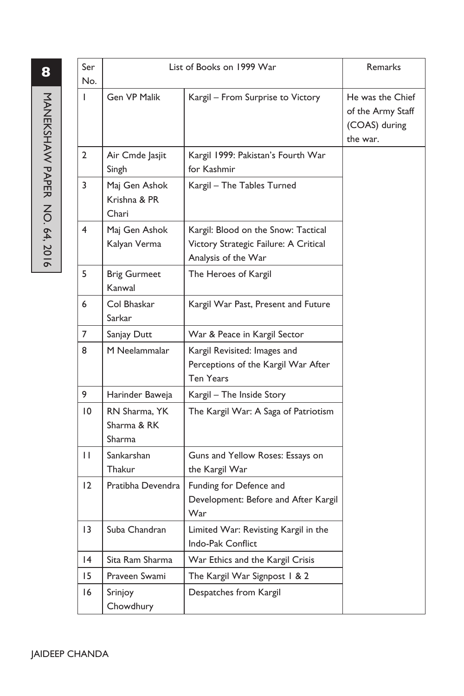| Ser<br>No.      | List of Books on 1999 War              |                                                                                                     | Remarks                                                            |
|-----------------|----------------------------------------|-----------------------------------------------------------------------------------------------------|--------------------------------------------------------------------|
| L               | Gen VP Malik                           | Kargil - From Surprise to Victory                                                                   | He was the Chief<br>of the Army Staff<br>(COAS) during<br>the war. |
| 2               | Air Cmde Jasjit<br>Singh               | Kargil 1999: Pakistan's Fourth War<br>for Kashmir                                                   |                                                                    |
| 3               | Maj Gen Ashok<br>Krishna & PR<br>Chari | Kargil - The Tables Turned                                                                          |                                                                    |
| 4               | Maj Gen Ashok<br>Kalyan Verma          | Kargil: Blood on the Snow: Tactical<br>Victory Strategic Failure: A Critical<br>Analysis of the War |                                                                    |
| 5               | <b>Brig Gurmeet</b><br>Kanwal          | The Heroes of Kargil                                                                                |                                                                    |
| 6               | Col Bhaskar<br>Sarkar                  | Kargil War Past, Present and Future                                                                 |                                                                    |
| 7               | Sanjay Dutt                            | War & Peace in Kargil Sector                                                                        |                                                                    |
| 8               | M Neelammalar                          | Kargil Revisited: Images and<br>Perceptions of the Kargil War After<br>Ten Years                    |                                                                    |
| 9               | Harinder Baweja                        | Kargil - The Inside Story                                                                           |                                                                    |
| 10              | RN Sharma, YK<br>Sharma & RK<br>Sharma | The Kargil War: A Saga of Patriotism                                                                |                                                                    |
| П               | Sankarshan<br>Thakur                   | Guns and Yellow Roses: Essays on<br>the Kargil War                                                  |                                                                    |
| 12              | Pratibha Devendra                      | Funding for Defence and<br>Development: Before and After Kargil<br>War                              |                                                                    |
| $\overline{13}$ | Suba Chandran                          | Limited War: Revisting Kargil in the<br>Indo-Pak Conflict                                           |                                                                    |
| $\overline{14}$ | Sita Ram Sharma                        | War Ethics and the Kargil Crisis                                                                    |                                                                    |
| 15              | Praveen Swami                          | The Kargil War Signpost 1 & 2                                                                       |                                                                    |
| 16              | Srinjoy<br>Chowdhury                   | Despatches from Kargil                                                                              |                                                                    |

**8**NANEXSHAVN PAPER NO. 64, 2016 MANEKSHAW PAPER NO. 64, 2016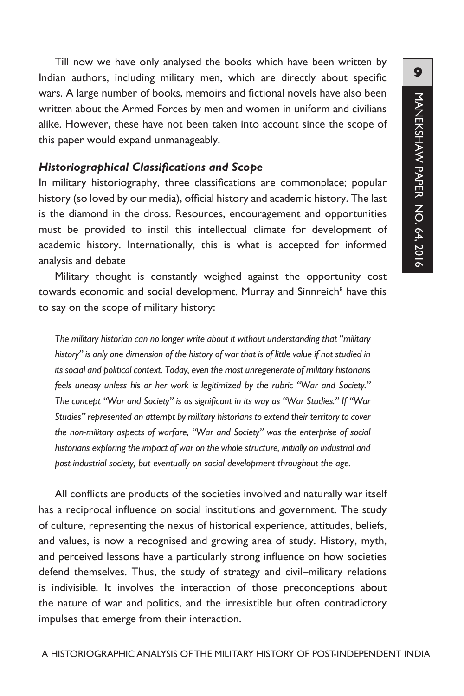Till now we have only analysed the books which have been written by Indian authors, including military men, which are directly about specific wars. A large number of books, memoirs and fictional novels have also been written about the Armed Forces by men and women in uniform and civilians alike. However, these have not been taken into account since the scope of this paper would expand unmanageably.

#### *Historiographical Classifications and Scope*

In military historiography, three classifications are commonplace; popular history (so loved by our media), official history and academic history. The last is the diamond in the dross. Resources, encouragement and opportunities must be provided to instil this intellectual climate for development of academic history. Internationally, this is what is accepted for informed analysis and debate

Military thought is constantly weighed against the opportunity cost towards economic and social development. Murray and Sinnreich<sup>8</sup> have this to say on the scope of military history:

*The military historian can no longer write about it without understanding that "military history" is only one dimension of the history of war that is of little value if not studied in its social and political context. Today, even the most unregenerate of military historians feels uneasy unless his or her work is legitimized by the rubric "War and Society." The concept "War and Society" is as significant in its way as "War Studies." If "War Studies" represented an attempt by military historians to extend their territory to cover the non-military aspects of warfare, "War and Society" was the enterprise of social historians exploring the impact of war on the whole structure, initially on industrial and post-industrial society, but eventually on social development throughout the age.*

All conflicts are products of the societies involved and naturally war itself has a reciprocal influence on social institutions and government. The study of culture, representing the nexus of historical experience, attitudes, beliefs, and values, is now a recognised and growing area of study. History, myth, and perceived lessons have a particularly strong influence on how societies defend themselves. Thus, the study of strategy and civil–military relations is indivisible. It involves the interaction of those preconceptions about the nature of war and politics, and the irresistible but often contradictory impulses that emerge from their interaction.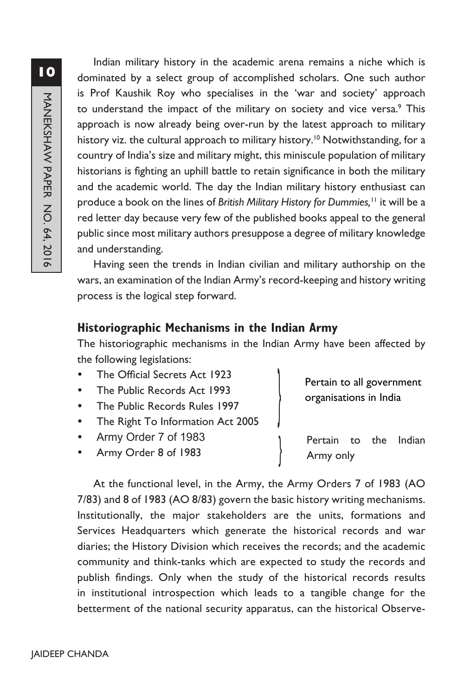Indian military history in the academic arena remains a niche which is dominated by a select group of accomplished scholars. One such author is Prof Kaushik Roy who specialises in the 'war and society' approach to understand the impact of the military on society and vice versa.<sup>9</sup> This approach is now already being over-run by the latest approach to military history viz. the cultural approach to military history.<sup>10</sup> Notwithstanding, for a country of India's size and military might, this miniscule population of military historians is fighting an uphill battle to retain significance in both the military and the academic world. The day the Indian military history enthusiast can produce a book on the lines of *British Military History for Dummies,*11 it will be a red letter day because very few of the published books appeal to the general public since most military authors presuppose a degree of military knowledge and understanding.

Having seen the trends in Indian civilian and military authorship on the wars, an examination of the Indian Army's record-keeping and history writing process is the logical step forward.

# **Historiographic Mechanisms in the Indian Army**

The historiographic mechanisms in the Indian Army have been affected by the following legislations:

}

}

- The Official Secrets Act 1923
- The Public Records Act 1993
- The Public Records Rules 1997
- The Right To Information Act 2005
- Army Order 7 of 1983
- y Army Order 8 of 1983

Pertain to all government organisations in India

Pertain to the Indian Army only

At the functional level, in the Army, the Army Orders 7 of 1983 (AO 7/83) and 8 of 1983 (AO 8/83) govern the basic history writing mechanisms. Institutionally, the major stakeholders are the units, formations and Services Headquarters which generate the historical records and war diaries; the History Division which receives the records; and the academic community and think-tanks which are expected to study the records and publish findings. Only when the study of the historical records results in institutional introspection which leads to a tangible change for the betterment of the national security apparatus, can the historical Observe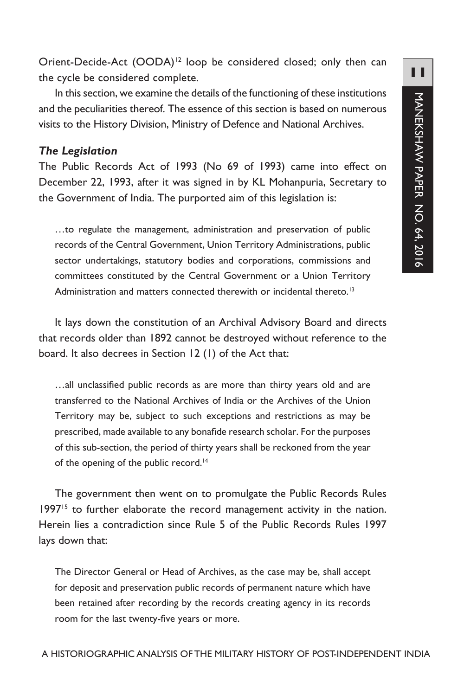Orient-Decide-Act (OODA)<sup>12</sup> loop be considered closed; only then can the cycle be considered complete.

In this section, we examine the details of the functioning of these institutions and the peculiarities thereof. The essence of this section is based on numerous visits to the History Division, Ministry of Defence and National Archives.

#### *The Legislation*

The Public Records Act of 1993 (No 69 of 1993) came into effect on December 22, 1993, after it was signed in by KL Mohanpuria, Secretary to the Government of India. The purported aim of this legislation is:

…to regulate the management, administration and preservation of public records of the Central Government, Union Territory Administrations, public sector undertakings, statutory bodies and corporations, commissions and committees constituted by the Central Government or a Union Territory Administration and matters connected therewith or incidental thereto.<sup>13</sup>

It lays down the constitution of an Archival Advisory Board and directs that records older than 1892 cannot be destroyed without reference to the board. It also decrees in Section 12 (1) of the Act that:

…all unclassified public records as are more than thirty years old and are transferred to the National Archives of India or the Archives of the Union Territory may be, subject to such exceptions and restrictions as may be prescribed, made available to any bonafide research scholar. For the purposes of this sub-section, the period of thirty years shall be reckoned from the year of the opening of the public record.<sup>14</sup>

The government then went on to promulgate the Public Records Rules 1997<sup>15</sup> to further elaborate the record management activity in the nation. Herein lies a contradiction since Rule 5 of the Public Records Rules 1997 lays down that:

The Director General or Head of Archives, as the case may be, shall accept for deposit and preservation public records of permanent nature which have been retained after recording by the records creating agency in its records room for the last twenty-five years or more.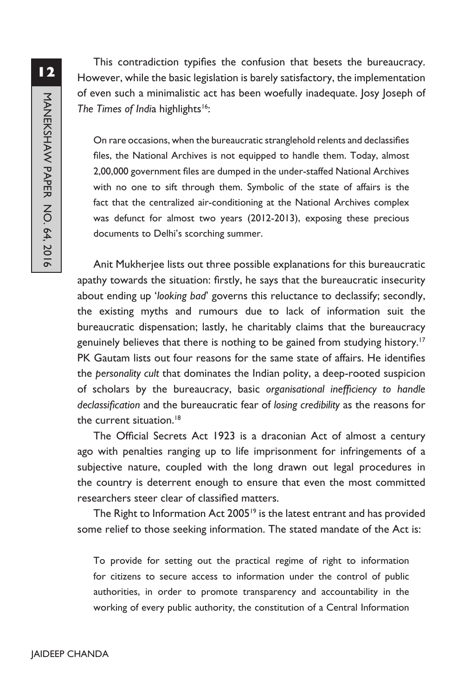This contradiction typifies the confusion that besets the bureaucracy. However, while the basic legislation is barely satisfactory, the implementation of even such a minimalistic act has been woefully inadequate. Josy Joseph of *The Times of India highlights*<sup>16</sup>:

On rare occasions, when the bureaucratic stranglehold relents and declassifies files, the National Archives is not equipped to handle them. Today, almost 2,00,000 government files are dumped in the under-staffed National Archives with no one to sift through them. Symbolic of the state of affairs is the fact that the centralized air-conditioning at the National Archives complex was defunct for almost two years (2012-2013), exposing these precious documents to Delhi's scorching summer.

Anit Mukherjee lists out three possible explanations for this bureaucratic apathy towards the situation: firstly, he says that the bureaucratic insecurity about ending up '*looking bad*' governs this reluctance to declassify; secondly, the existing myths and rumours due to lack of information suit the bureaucratic dispensation; lastly, he charitably claims that the bureaucracy genuinely believes that there is nothing to be gained from studying history.<sup>17</sup> PK Gautam lists out four reasons for the same state of affairs. He identifies the *personality cult* that dominates the Indian polity, a deep-rooted suspicion of scholars by the bureaucracy, basic *organisational inefficiency to handle declassification* and the bureaucratic fear of *losing credibility* as the reasons for the current situation.<sup>18</sup>

The Official Secrets Act 1923 is a draconian Act of almost a century ago with penalties ranging up to life imprisonment for infringements of a subjective nature, coupled with the long drawn out legal procedures in the country is deterrent enough to ensure that even the most committed researchers steer clear of classified matters.

The Right to Information Act 2005<sup>19</sup> is the latest entrant and has provided some relief to those seeking information. The stated mandate of the Act is:

To provide for setting out the practical regime of right to information for citizens to secure access to information under the control of public authorities, in order to promote transparency and accountability in the working of every public authority, the constitution of a Central Information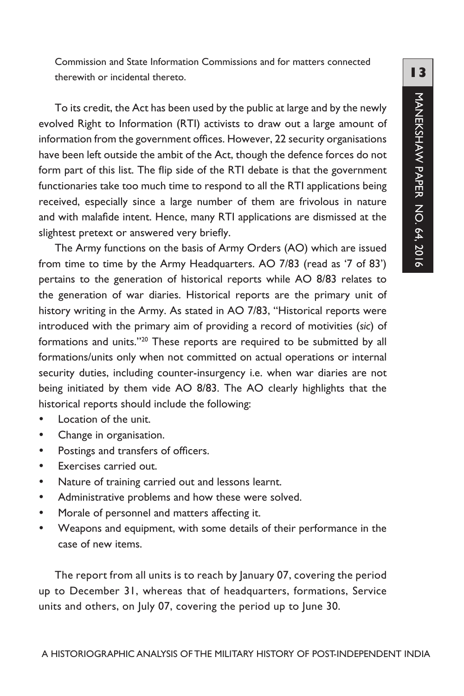Commission and State Information Commissions and for matters connected therewith or incidental thereto.

To its credit, the Act has been used by the public at large and by the newly evolved Right to Information (RTI) activists to draw out a large amount of information from the government offices. However, 22 security organisations have been left outside the ambit of the Act, though the defence forces do not form part of this list. The flip side of the RTI debate is that the government functionaries take too much time to respond to all the RTI applications being received, especially since a large number of them are frivolous in nature and with malafide intent. Hence, many RTI applications are dismissed at the slightest pretext or answered very briefly.

The Army functions on the basis of Army Orders (AO) which are issued from time to time by the Army Headquarters. AO 7/83 (read as '7 of 83') pertains to the generation of historical reports while AO 8/83 relates to the generation of war diaries. Historical reports are the primary unit of history writing in the Army. As stated in AO 7/83, "Historical reports were introduced with the primary aim of providing a record of motivities (*sic*) of formations and units."20 These reports are required to be submitted by all formations/units only when not committed on actual operations or internal security duties, including counter-insurgency i.e. when war diaries are not being initiated by them vide AO 8/83. The AO clearly highlights that the historical reports should include the following:

- Location of the unit.
- Change in organisation.
- Postings and transfers of officers.
- Exercises carried out.
- Nature of training carried out and lessons learnt.
- Administrative problems and how these were solved.
- Morale of personnel and matters affecting it.
- Weapons and equipment, with some details of their performance in the case of new items.

The report from all units is to reach by January 07, covering the period up to December 31, whereas that of headquarters, formations, Service units and others, on July 07, covering the period up to June 30.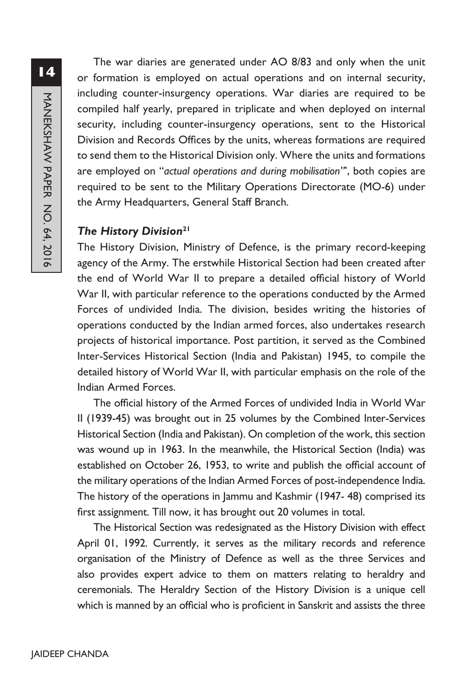The war diaries are generated under AO 8/83 and only when the unit or formation is employed on actual operations and on internal security, including counter-insurgency operations. War diaries are required to be compiled half yearly, prepared in triplicate and when deployed on internal security, including counter-insurgency operations, sent to the Historical Division and Records Offices by the units, whereas formations are required to send them to the Historical Division only. Where the units and formations are employed on "*actual operations and during mobilisation"*', both copies are required to be sent to the Military Operations Directorate (MO-6) under the Army Headquarters, General Staff Branch.

#### *The History Division***<sup>21</sup>**

The History Division, Ministry of Defence, is the primary record-keeping agency of the Army. The erstwhile Historical Section had been created after the end of World War II to prepare a detailed official history of World War II, with particular reference to the operations conducted by the Armed Forces of undivided India. The division, besides writing the histories of operations conducted by the Indian armed forces, also undertakes research projects of historical importance. Post partition, it served as the Combined Inter-Services Historical Section (India and Pakistan) 1945, to compile the detailed history of World War II, with particular emphasis on the role of the Indian Armed Forces.

The official history of the Armed Forces of undivided India in World War II (1939-45) was brought out in 25 volumes by the Combined Inter-Services Historical Section (India and Pakistan). On completion of the work, this section was wound up in 1963. In the meanwhile, the Historical Section (India) was established on October 26, 1953, to write and publish the official account of the military operations of the Indian Armed Forces of post-independence India. The history of the operations in Jammu and Kashmir (1947- 48) comprised its first assignment. Till now, it has brought out 20 volumes in total.

The Historical Section was redesignated as the History Division with effect April 01, 1992. Currently, it serves as the military records and reference organisation of the Ministry of Defence as well as the three Services and also provides expert advice to them on matters relating to heraldry and ceremonials. The Heraldry Section of the History Division is a unique cell which is manned by an official who is proficient in Sanskrit and assists the three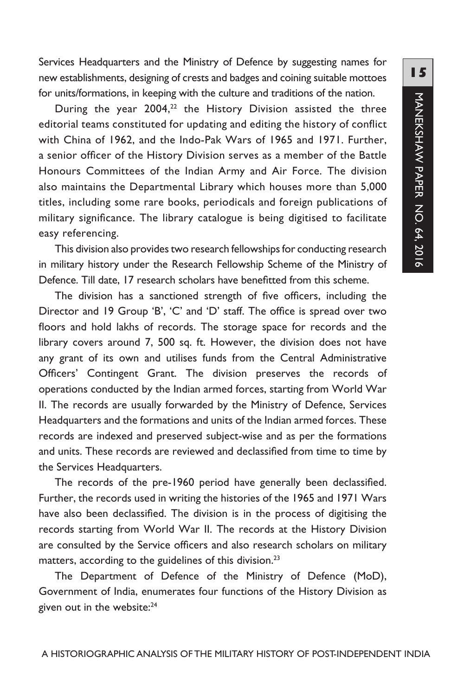Services Headquarters and the Ministry of Defence by suggesting names for new establishments, designing of crests and badges and coining suitable mottoes for units/formations, in keeping with the culture and traditions of the nation.

During the year  $2004$ ,<sup>22</sup> the History Division assisted the three editorial teams constituted for updating and editing the history of conflict with China of 1962, and the Indo-Pak Wars of 1965 and 1971. Further, a senior officer of the History Division serves as a member of the Battle Honours Committees of the Indian Army and Air Force. The division also maintains the Departmental Library which houses more than 5,000 titles, including some rare books, periodicals and foreign publications of military significance. The library catalogue is being digitised to facilitate easy referencing.

This division also provides two research fellowships for conducting research in military history under the Research Fellowship Scheme of the Ministry of Defence. Till date, 17 research scholars have benefitted from this scheme.

The division has a sanctioned strength of five officers, including the Director and 19 Group 'B', 'C' and 'D' staff. The office is spread over two floors and hold lakhs of records. The storage space for records and the library covers around 7, 500 sq. ft. However, the division does not have any grant of its own and utilises funds from the Central Administrative Officers' Contingent Grant. The division preserves the records of operations conducted by the Indian armed forces, starting from World War II. The records are usually forwarded by the Ministry of Defence, Services Headquarters and the formations and units of the Indian armed forces. These records are indexed and preserved subject-wise and as per the formations and units. These records are reviewed and declassified from time to time by the Services Headquarters.

The records of the pre-1960 period have generally been declassified. Further, the records used in writing the histories of the 1965 and 1971 Wars have also been declassified. The division is in the process of digitising the records starting from World War II. The records at the History Division are consulted by the Service officers and also research scholars on military matters, according to the guidelines of this division.<sup>23</sup>

The Department of Defence of the Ministry of Defence (MoD), Government of India, enumerates four functions of the History Division as given out in the website:24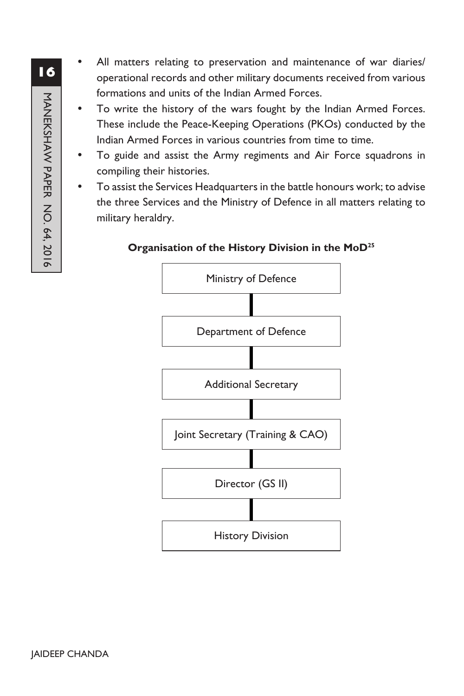- All matters relating to preservation and maintenance of war diaries/ operational records and other military documents received from various formations and units of the Indian Armed Forces.
- To write the history of the wars fought by the Indian Armed Forces. These include the Peace-Keeping Operations (PKOs) conducted by the Indian Armed Forces in various countries from time to time.
- To guide and assist the Army regiments and Air Force squadrons in compiling their histories.
- To assist the Services Headquarters in the battle honours work; to advise the three Services and the Ministry of Defence in all matters relating to military heraldry.

#### **Organisation of the History Division in the MoD25**

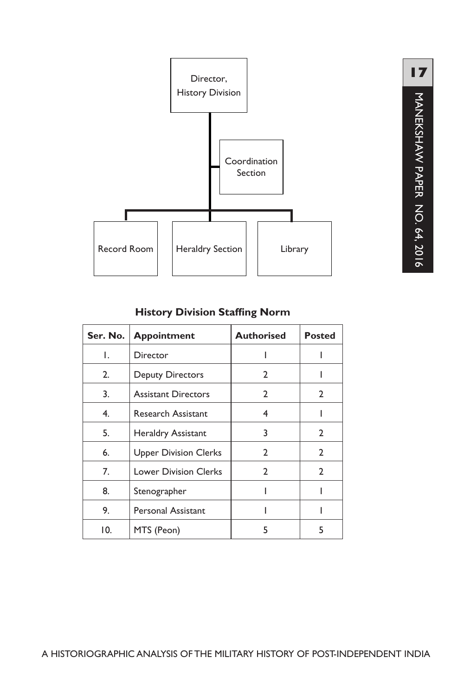

#### **History Division Staffing Norm**

| Ser. No.                           | <b>Appointment</b>         | <b>Authorised</b> | <b>Posted</b>  |
|------------------------------------|----------------------------|-------------------|----------------|
| Τ.                                 | Director                   |                   |                |
| 2.                                 | <b>Deputy Directors</b>    | $\mathfrak{p}$    |                |
| 3.                                 | <b>Assistant Directors</b> | $\mathbf{2}$      | $\overline{2}$ |
| 4.                                 | <b>Research Assistant</b>  | 4                 |                |
| 5.                                 | Heraldry Assistant         | 3                 | 2              |
| <b>Upper Division Clerks</b><br>6. |                            | $\mathfrak{p}$    | 2              |
| 7.<br><b>Lower Division Clerks</b> |                            | $\mathfrak{p}$    | 2              |
| 8.                                 | Stenographer               |                   |                |
| 9.                                 | <b>Personal Assistant</b>  |                   |                |
| 10.                                | MTS (Peon)                 | 5                 | 5              |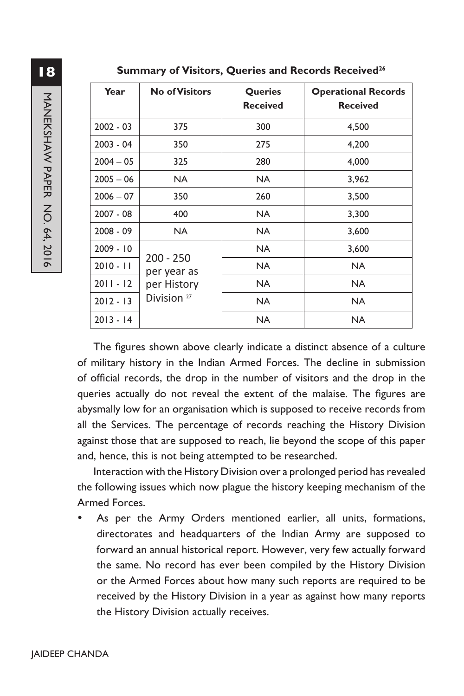| <b>NANHANY PAPER</b> |                 |
|----------------------|-----------------|
|                      | 20              |
|                      | 20              |
|                      | 20              |
|                      | 20              |
|                      | 20              |
|                      | 20              |
|                      | $\overline{20}$ |
| NO. 64, 2016         | 20 <sup>°</sup> |
|                      | 20              |

**18**

**Summary of Visitors, Queries and Records Received26**

| Year        | <b>No of Visitors</b>                                               | <b>Queries</b><br><b>Received</b> | <b>Operational Records</b><br><b>Received</b> |
|-------------|---------------------------------------------------------------------|-----------------------------------|-----------------------------------------------|
| $2002 - 03$ | 375                                                                 | 300                               | 4,500                                         |
| $2003 - 04$ | 350                                                                 | 275                               | 4,200                                         |
| $2004 - 05$ | 325                                                                 | 280                               | 4,000                                         |
| $2005 - 06$ | NA.                                                                 | NA.                               | 3,962                                         |
| $2006 - 07$ | 350                                                                 | 260                               | 3,500                                         |
| $2007 - 08$ | 400                                                                 | NA.                               | 3,300                                         |
| $2008 - 09$ | NA.                                                                 | NA.                               | 3,600                                         |
| $2009 - 10$ |                                                                     | NA.                               | 3,600                                         |
| $2010 - 11$ | $200 - 250$<br>per year as<br>per History<br>Division <sup>27</sup> | NA.                               | <b>NA</b>                                     |
| $2011 - 12$ |                                                                     | NA.                               | NA.                                           |
| $2012 - 13$ |                                                                     | <b>NA</b>                         | <b>NA</b>                                     |
| $2013 - 14$ |                                                                     | NA.                               | NA.                                           |

The figures shown above clearly indicate a distinct absence of a culture of military history in the Indian Armed Forces. The decline in submission of official records, the drop in the number of visitors and the drop in the queries actually do not reveal the extent of the malaise. The figures are abysmally low for an organisation which is supposed to receive records from all the Services. The percentage of records reaching the History Division against those that are supposed to reach, lie beyond the scope of this paper and, hence, this is not being attempted to be researched.

Interaction with the History Division over a prolonged period has revealed the following issues which now plague the history keeping mechanism of the Armed Forces.

As per the Army Orders mentioned earlier, all units, formations, directorates and headquarters of the Indian Army are supposed to forward an annual historical report. However, very few actually forward the same. No record has ever been compiled by the History Division or the Armed Forces about how many such reports are required to be received by the History Division in a year as against how many reports the History Division actually receives.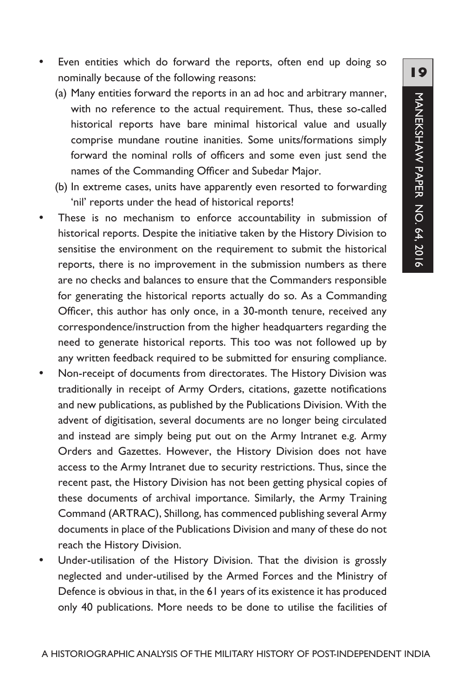- Even entities which do forward the reports, often end up doing so nominally because of the following reasons:
	- (a) Many entities forward the reports in an ad hoc and arbitrary manner, with no reference to the actual requirement. Thus, these so-called historical reports have bare minimal historical value and usually comprise mundane routine inanities. Some units/formations simply forward the nominal rolls of officers and some even just send the names of the Commanding Officer and Subedar Major.
	- (b) In extreme cases, units have apparently even resorted to forwarding 'nil' reports under the head of historical reports!
- These is no mechanism to enforce accountability in submission of historical reports. Despite the initiative taken by the History Division to sensitise the environment on the requirement to submit the historical reports, there is no improvement in the submission numbers as there are no checks and balances to ensure that the Commanders responsible for generating the historical reports actually do so. As a Commanding Officer, this author has only once, in a 30-month tenure, received any correspondence/instruction from the higher headquarters regarding the need to generate historical reports. This too was not followed up by any written feedback required to be submitted for ensuring compliance.
- Non-receipt of documents from directorates. The History Division was traditionally in receipt of Army Orders, citations, gazette notifications and new publications, as published by the Publications Division. With the advent of digitisation, several documents are no longer being circulated and instead are simply being put out on the Army Intranet e.g. Army Orders and Gazettes. However, the History Division does not have access to the Army Intranet due to security restrictions. Thus, since the recent past, the History Division has not been getting physical copies of these documents of archival importance. Similarly, the Army Training Command (ARTRAC), Shillong, has commenced publishing several Army documents in place of the Publications Division and many of these do not reach the History Division.
- Under-utilisation of the History Division. That the division is grossly neglected and under-utilised by the Armed Forces and the Ministry of Defence is obvious in that, in the 61 years of its existence it has produced only 40 publications. More needs to be done to utilise the facilities of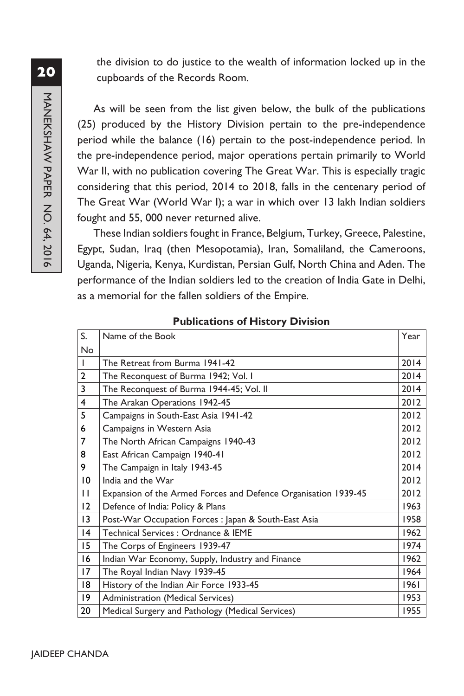the division to do justice to the wealth of information locked up in the cupboards of the Records Room.

As will be seen from the list given below, the bulk of the publications (25) produced by the History Division pertain to the pre-independence period while the balance (16) pertain to the post-independence period. In the pre-independence period, major operations pertain primarily to World War II, with no publication covering The Great War. This is especially tragic considering that this period, 2014 to 2018, falls in the centenary period of The Great War (World War I); a war in which over 13 lakh Indian soldiers fought and 55, 000 never returned alive.

These Indian soldiers fought in France, Belgium, Turkey, Greece, Palestine, Egypt, Sudan, Iraq (then Mesopotamia), Iran, Somaliland, the Cameroons, Uganda, Nigeria, Kenya, Kurdistan, Persian Gulf, North China and Aden. The performance of the Indian soldiers led to the creation of India Gate in Delhi, as a memorial for the fallen soldiers of the Empire.

| S.             | Name of the Book                                               | Year |
|----------------|----------------------------------------------------------------|------|
| <b>No</b>      |                                                                |      |
|                | The Retreat from Burma 1941-42                                 | 2014 |
| $\overline{2}$ | The Reconquest of Burma 1942; Vol. I                           | 2014 |
| 3              | The Reconquest of Burma 1944-45; Vol. II                       | 2014 |
| 4              | The Arakan Operations 1942-45                                  | 2012 |
| 5              | Campaigns in South-East Asia 1941-42                           | 2012 |
| 6              | Campaigns in Western Asia                                      | 2012 |
| $\overline{7}$ | The North African Campaigns 1940-43                            | 2012 |
| 8              | East African Campaign 1940-41                                  | 2012 |
| 9              | The Campaign in Italy 1943-45                                  | 2014 |
| $\overline{0}$ | India and the War                                              | 2012 |
| $\mathbf{H}$   | Expansion of the Armed Forces and Defence Organisation 1939-45 | 2012 |
| 12             | Defence of India: Policy & Plans                               | 1963 |
| 13             | Post-War Occupation Forces : Japan & South-East Asia           | 1958 |
| 4              | Technical Services : Ordnance & IEME                           | 1962 |
| 15             | The Corps of Engineers 1939-47                                 | 1974 |
| 16             | Indian War Economy, Supply, Industry and Finance               | 1962 |
| 17             | The Royal Indian Navy 1939-45                                  | 1964 |
| 18             | History of the Indian Air Force 1933-45                        | 1961 |
| $ 9\rangle$    | Administration (Medical Services)                              | 1953 |
| 20             | Medical Surgery and Pathology (Medical Services)               | 1955 |

#### **Publications of History Division**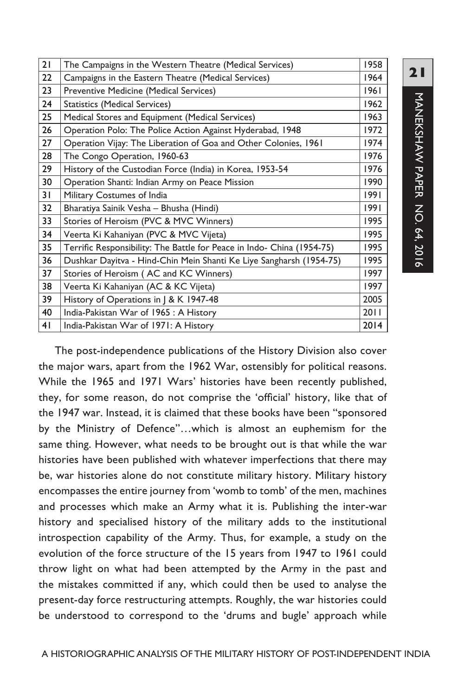| 21 | The Campaigns in the Western Theatre (Medical Services)                | 1958 |
|----|------------------------------------------------------------------------|------|
| 22 | Campaigns in the Eastern Theatre (Medical Services)                    | 1964 |
| 23 | Preventive Medicine (Medical Services)                                 | 1961 |
| 24 | <b>Statistics (Medical Services)</b>                                   | 1962 |
| 25 | Medical Stores and Equipment (Medical Services)                        | 1963 |
| 26 | Operation Polo: The Police Action Against Hyderabad, 1948              | 1972 |
| 27 | Operation Vijay: The Liberation of Goa and Other Colonies, 1961        | 1974 |
| 28 | The Congo Operation, 1960-63                                           | 1976 |
| 29 | History of the Custodian Force (India) in Korea, 1953-54               | 1976 |
| 30 | Operation Shanti: Indian Army on Peace Mission                         | 1990 |
| 31 | Military Costumes of India                                             | 1991 |
| 32 | Bharatiya Sainik Vesha - Bhusha (Hindi)                                | 1991 |
| 33 | Stories of Heroism (PVC & MVC Winners)                                 | 1995 |
| 34 | Veerta Ki Kahaniyan (PVC & MVC Vijeta)                                 | 1995 |
| 35 | Terrific Responsibility: The Battle for Peace in Indo- China (1954-75) | 1995 |
| 36 | Dushkar Dayitva - Hind-Chin Mein Shanti Ke Liye Sangharsh (1954-75)    | 1995 |
| 37 | Stories of Heroism (AC and KC Winners)                                 | 1997 |
| 38 | Veerta Ki Kahaniyan (AC & KC Vijeta)                                   | 1997 |
| 39 | History of Operations in   & K 1947-48                                 | 2005 |
| 40 | India-Pakistan War of 1965 : A History                                 | 2011 |
| 41 | India-Pakistan War of 1971: A History                                  | 2014 |

The post-independence publications of the History Division also cover the major wars, apart from the 1962 War, ostensibly for political reasons. While the 1965 and 1971 Wars' histories have been recently published, they, for some reason, do not comprise the 'official' history, like that of the 1947 war. Instead, it is claimed that these books have been "sponsored by the Ministry of Defence"…which is almost an euphemism for the same thing. However, what needs to be brought out is that while the war histories have been published with whatever imperfections that there may be, war histories alone do not constitute military history. Military history encompasses the entire journey from 'womb to tomb' of the men, machines and processes which make an Army what it is. Publishing the inter-war history and specialised history of the military adds to the institutional introspection capability of the Army. Thus, for example, a study on the evolution of the force structure of the 15 years from 1947 to 1961 could throw light on what had been attempted by the Army in the past and the mistakes committed if any, which could then be used to analyse the present-day force restructuring attempts. Roughly, the war histories could be understood to correspond to the 'drums and bugle' approach while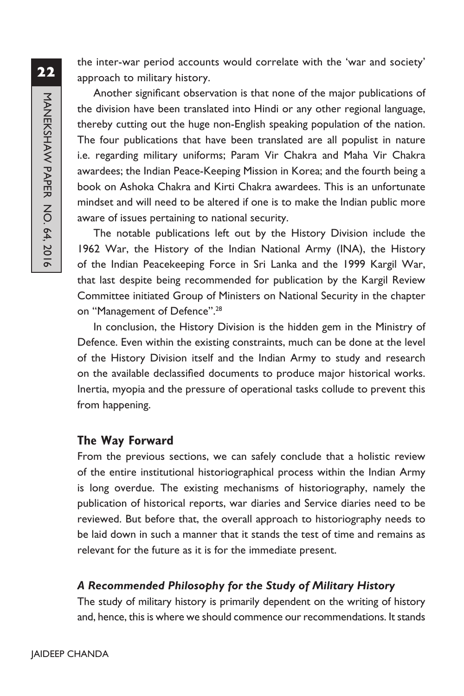the inter-war period accounts would correlate with the 'war and society' approach to military history.

Another significant observation is that none of the major publications of the division have been translated into Hindi or any other regional language, thereby cutting out the huge non-English speaking population of the nation. The four publications that have been translated are all populist in nature i.e. regarding military uniforms; Param Vir Chakra and Maha Vir Chakra awardees; the Indian Peace-Keeping Mission in Korea; and the fourth being a book on Ashoka Chakra and Kirti Chakra awardees. This is an unfortunate mindset and will need to be altered if one is to make the Indian public more aware of issues pertaining to national security.

The notable publications left out by the History Division include the 1962 War, the History of the Indian National Army (INA), the History of the Indian Peacekeeping Force in Sri Lanka and the 1999 Kargil War, that last despite being recommended for publication by the Kargil Review Committee initiated Group of Ministers on National Security in the chapter on "Management of Defence".<sup>28</sup>

In conclusion, the History Division is the hidden gem in the Ministry of Defence. Even within the existing constraints, much can be done at the level of the History Division itself and the Indian Army to study and research on the available declassified documents to produce major historical works. Inertia, myopia and the pressure of operational tasks collude to prevent this from happening.

#### **The Way Forward**

From the previous sections, we can safely conclude that a holistic review of the entire institutional historiographical process within the Indian Army is long overdue. The existing mechanisms of historiography, namely the publication of historical reports, war diaries and Service diaries need to be reviewed. But before that, the overall approach to historiography needs to be laid down in such a manner that it stands the test of time and remains as relevant for the future as it is for the immediate present.

### *A Recommended Philosophy for the Study of Military History*

The study of military history is primarily dependent on the writing of history and, hence, this is where we should commence our recommendations. It stands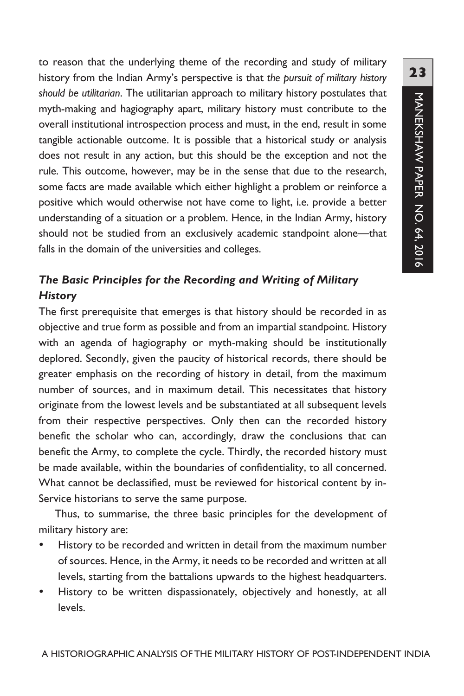to reason that the underlying theme of the recording and study of military history from the Indian Army's perspective is that *the pursuit of military history should be utilitarian*. The utilitarian approach to military history postulates that myth-making and hagiography apart, military history must contribute to the overall institutional introspection process and must, in the end, result in some tangible actionable outcome. It is possible that a historical study or analysis does not result in any action, but this should be the exception and not the rule. This outcome, however, may be in the sense that due to the research, some facts are made available which either highlight a problem or reinforce a positive which would otherwise not have come to light, i.e. provide a better understanding of a situation or a problem. Hence, in the Indian Army, history should not be studied from an exclusively academic standpoint alone—that falls in the domain of the universities and colleges.

# *The Basic Principles for the Recording and Writing of Military History*

The first prerequisite that emerges is that history should be recorded in as objective and true form as possible and from an impartial standpoint. History with an agenda of hagiography or myth-making should be institutionally deplored. Secondly, given the paucity of historical records, there should be greater emphasis on the recording of history in detail, from the maximum number of sources, and in maximum detail. This necessitates that history originate from the lowest levels and be substantiated at all subsequent levels from their respective perspectives. Only then can the recorded history benefit the scholar who can, accordingly, draw the conclusions that can benefit the Army, to complete the cycle. Thirdly, the recorded history must be made available, within the boundaries of confidentiality, to all concerned. What cannot be declassified, must be reviewed for historical content by in-Service historians to serve the same purpose.

Thus, to summarise, the three basic principles for the development of military history are:

- History to be recorded and written in detail from the maximum number of sources. Hence, in the Army, it needs to be recorded and written at all levels, starting from the battalions upwards to the highest headquarters.
- History to be written dispassionately, objectively and honestly, at all levels.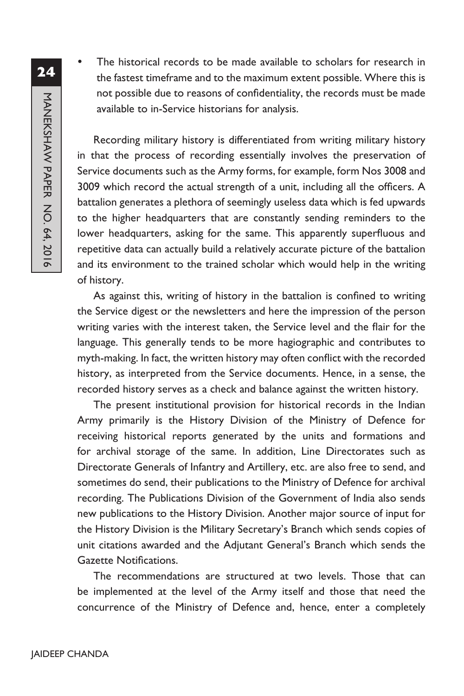**24**MANEKSHAW PAPER NO. 64, 2016 MANEKSHAW PAPER NO. 64, 2016

The historical records to be made available to scholars for research in the fastest timeframe and to the maximum extent possible. Where this is not possible due to reasons of confidentiality, the records must be made available to in-Service historians for analysis.

Recording military history is differentiated from writing military history in that the process of recording essentially involves the preservation of Service documents such as the Army forms, for example, form Nos 3008 and 3009 which record the actual strength of a unit, including all the officers. A battalion generates a plethora of seemingly useless data which is fed upwards to the higher headquarters that are constantly sending reminders to the lower headquarters, asking for the same. This apparently superfluous and repetitive data can actually build a relatively accurate picture of the battalion and its environment to the trained scholar which would help in the writing of history.

As against this, writing of history in the battalion is confined to writing the Service digest or the newsletters and here the impression of the person writing varies with the interest taken, the Service level and the flair for the language. This generally tends to be more hagiographic and contributes to myth-making. In fact, the written history may often conflict with the recorded history, as interpreted from the Service documents. Hence, in a sense, the recorded history serves as a check and balance against the written history.

The present institutional provision for historical records in the Indian Army primarily is the History Division of the Ministry of Defence for receiving historical reports generated by the units and formations and for archival storage of the same. In addition, Line Directorates such as Directorate Generals of Infantry and Artillery, etc. are also free to send, and sometimes do send, their publications to the Ministry of Defence for archival recording. The Publications Division of the Government of India also sends new publications to the History Division. Another major source of input for the History Division is the Military Secretary's Branch which sends copies of unit citations awarded and the Adjutant General's Branch which sends the Gazette Notifications.

The recommendations are structured at two levels. Those that can be implemented at the level of the Army itself and those that need the concurrence of the Ministry of Defence and, hence, enter a completely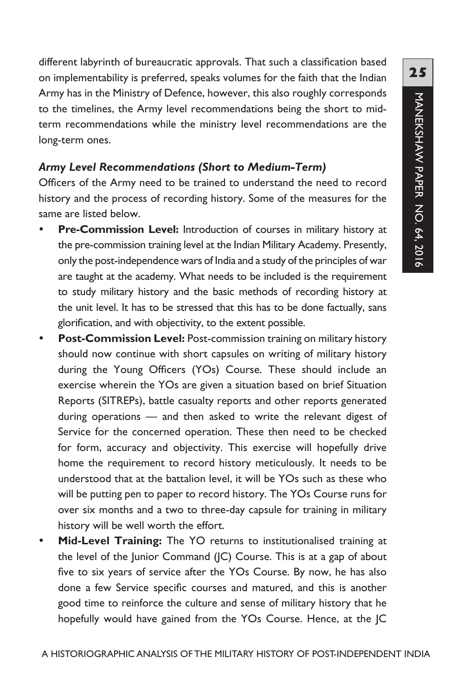different labyrinth of bureaucratic approvals. That such a classification based on implementability is preferred, speaks volumes for the faith that the Indian Army has in the Ministry of Defence, however, this also roughly corresponds to the timelines, the Army level recommendations being the short to midterm recommendations while the ministry level recommendations are the long-term ones.

#### *Army Level Recommendations (Short to Medium-Term)*

Officers of the Army need to be trained to understand the need to record history and the process of recording history. Some of the measures for the same are listed below.

- **Pre-Commission Level:** Introduction of courses in military history at the pre-commission training level at the Indian Military Academy. Presently, only the post-independence wars of India and a study of the principles of war are taught at the academy. What needs to be included is the requirement to study military history and the basic methods of recording history at the unit level. It has to be stressed that this has to be done factually, sans glorification, and with objectivity, to the extent possible.
- **Post-Commission Level:** Post-commission training on military history should now continue with short capsules on writing of military history during the Young Officers (YOs) Course. These should include an exercise wherein the YOs are given a situation based on brief Situation Reports (SITREPs), battle casualty reports and other reports generated during operations — and then asked to write the relevant digest of Service for the concerned operation. These then need to be checked for form, accuracy and objectivity. This exercise will hopefully drive home the requirement to record history meticulously. It needs to be understood that at the battalion level, it will be YOs such as these who will be putting pen to paper to record history. The YOs Course runs for over six months and a two to three-day capsule for training in military history will be well worth the effort.
- Mid-Level Training: The YO returns to institutionalised training at the level of the Junior Command (JC) Course. This is at a gap of about five to six years of service after the YOs Course. By now, he has also done a few Service specific courses and matured, and this is another good time to reinforce the culture and sense of military history that he hopefully would have gained from the YOs Course. Hence, at the JC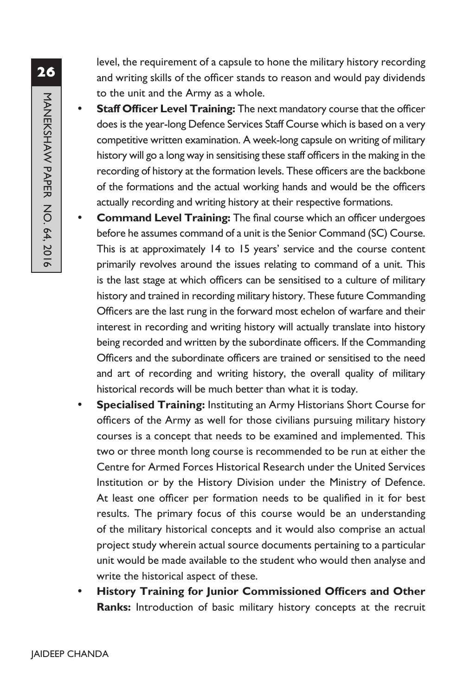level, the requirement of a capsule to hone the military history recording and writing skills of the officer stands to reason and would pay dividends to the unit and the Army as a whole.

- **Staff Officer Level Training:** The next mandatory course that the officer does is the year-long Defence Services Staff Course which is based on a very competitive written examination. A week-long capsule on writing of military history will go a long way in sensitising these staff officers in the making in the recording of history at the formation levels. These officers are the backbone of the formations and the actual working hands and would be the officers actually recording and writing history at their respective formations.
- **Command Level Training:** The final course which an officer undergoes before he assumes command of a unit is the Senior Command (SC) Course. This is at approximately 14 to 15 years' service and the course content primarily revolves around the issues relating to command of a unit. This is the last stage at which officers can be sensitised to a culture of military history and trained in recording military history. These future Commanding Officers are the last rung in the forward most echelon of warfare and their interest in recording and writing history will actually translate into history being recorded and written by the subordinate officers. If the Commanding Officers and the subordinate officers are trained or sensitised to the need and art of recording and writing history, the overall quality of military historical records will be much better than what it is today.
- Specialised Training: Instituting an Army Historians Short Course for officers of the Army as well for those civilians pursuing military history courses is a concept that needs to be examined and implemented. This two or three month long course is recommended to be run at either the Centre for Armed Forces Historical Research under the United Services Institution or by the History Division under the Ministry of Defence. At least one officer per formation needs to be qualified in it for best results. The primary focus of this course would be an understanding of the military historical concepts and it would also comprise an actual project study wherein actual source documents pertaining to a particular unit would be made available to the student who would then analyse and write the historical aspect of these.
- **History Training for Junior Commissioned Officers and Other Ranks:** Introduction of basic military history concepts at the recruit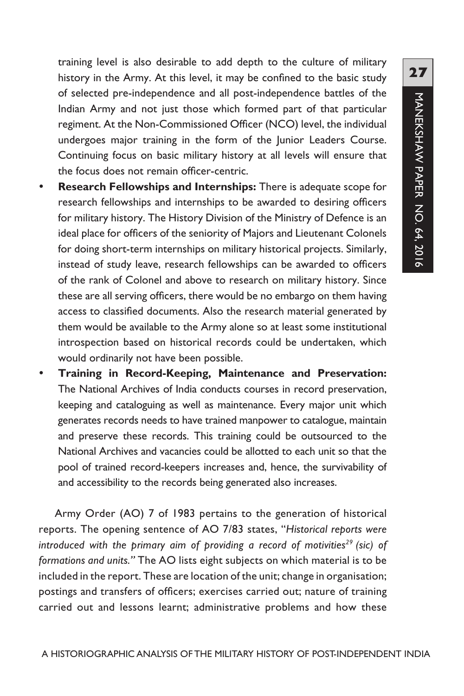training level is also desirable to add depth to the culture of military history in the Army. At this level, it may be confined to the basic study of selected pre-independence and all post-independence battles of the Indian Army and not just those which formed part of that particular regiment. At the Non-Commissioned Officer (NCO) level, the individual undergoes major training in the form of the Junior Leaders Course. Continuing focus on basic military history at all levels will ensure that the focus does not remain officer-centric.

- Research Fellowships and Internships: There is adequate scope for research fellowships and internships to be awarded to desiring officers for military history. The History Division of the Ministry of Defence is an ideal place for officers of the seniority of Majors and Lieutenant Colonels for doing short-term internships on military historical projects. Similarly, instead of study leave, research fellowships can be awarded to officers of the rank of Colonel and above to research on military history. Since these are all serving officers, there would be no embargo on them having access to classified documents. Also the research material generated by them would be available to the Army alone so at least some institutional introspection based on historical records could be undertaken, which would ordinarily not have been possible.
- y **Training in Record-Keeping, Maintenance and Preservation:** The National Archives of India conducts courses in record preservation, keeping and cataloguing as well as maintenance. Every major unit which generates records needs to have trained manpower to catalogue, maintain and preserve these records. This training could be outsourced to the National Archives and vacancies could be allotted to each unit so that the pool of trained record-keepers increases and, hence, the survivability of and accessibility to the records being generated also increases.

Army Order (AO) 7 of 1983 pertains to the generation of historical reports. The opening sentence of AO 7/83 states, "*Historical reports were*  introduced with the primary aim of providing a record of motivities<sup>29</sup> (sic) of *formations and units."* The AO lists eight subjects on which material is to be included in the report. These are location of the unit; change in organisation; postings and transfers of officers; exercises carried out; nature of training carried out and lessons learnt; administrative problems and how these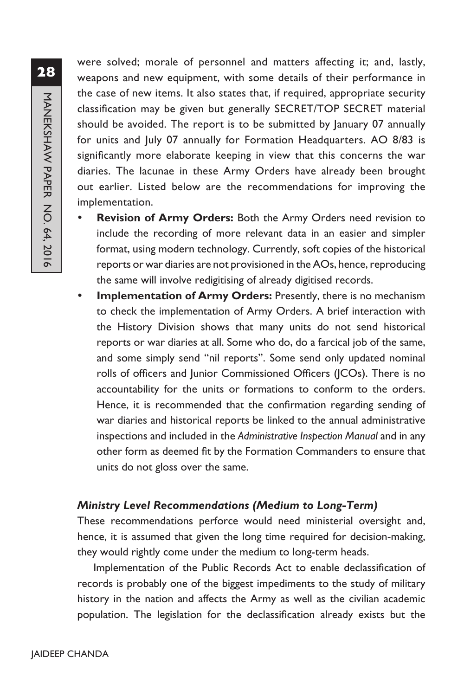were solved; morale of personnel and matters affecting it; and, lastly, weapons and new equipment, with some details of their performance in the case of new items. It also states that, if required, appropriate security classification may be given but generally SECRET/TOP SECRET material should be avoided. The report is to be submitted by January 07 annually for units and July 07 annually for Formation Headquarters. AO 8/83 is significantly more elaborate keeping in view that this concerns the war diaries. The lacunae in these Army Orders have already been brought out earlier. Listed below are the recommendations for improving the implementation.

- Revision of Army Orders: Both the Army Orders need revision to include the recording of more relevant data in an easier and simpler format, using modern technology. Currently, soft copies of the historical reports or war diaries are not provisioned in the AOs, hence, reproducing the same will involve redigitising of already digitised records.
- **Implementation of Army Orders:** Presently, there is no mechanism to check the implementation of Army Orders. A brief interaction with the History Division shows that many units do not send historical reports or war diaries at all. Some who do, do a farcical job of the same, and some simply send "nil reports". Some send only updated nominal rolls of officers and Junior Commissioned Officers (JCOs). There is no accountability for the units or formations to conform to the orders. Hence, it is recommended that the confirmation regarding sending of war diaries and historical reports be linked to the annual administrative inspections and included in the *Administrative Inspection Manual* and in any other form as deemed fit by the Formation Commanders to ensure that units do not gloss over the same.

### *Ministry Level Recommendations (Medium to Long-Term)*

These recommendations perforce would need ministerial oversight and, hence, it is assumed that given the long time required for decision-making, they would rightly come under the medium to long-term heads.

Implementation of the Public Records Act to enable declassification of records is probably one of the biggest impediments to the study of military history in the nation and affects the Army as well as the civilian academic population. The legislation for the declassification already exists but the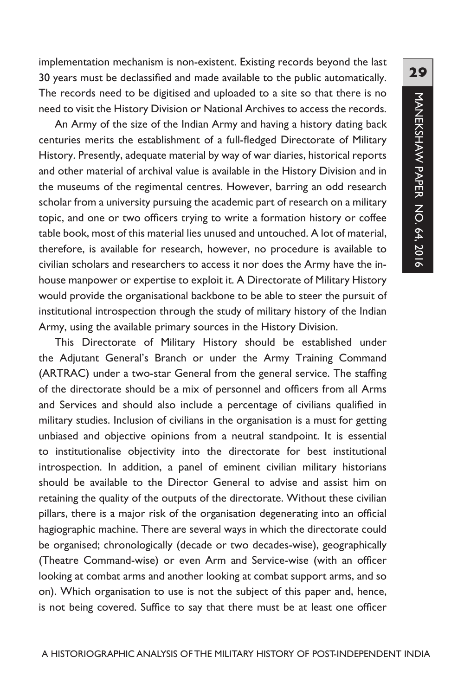implementation mechanism is non-existent. Existing records beyond the last 30 years must be declassified and made available to the public automatically. The records need to be digitised and uploaded to a site so that there is no need to visit the History Division or National Archives to access the records.

An Army of the size of the Indian Army and having a history dating back centuries merits the establishment of a full-fledged Directorate of Military History. Presently, adequate material by way of war diaries, historical reports and other material of archival value is available in the History Division and in the museums of the regimental centres. However, barring an odd research scholar from a university pursuing the academic part of research on a military topic, and one or two officers trying to write a formation history or coffee table book, most of this material lies unused and untouched. A lot of material, therefore, is available for research, however, no procedure is available to civilian scholars and researchers to access it nor does the Army have the inhouse manpower or expertise to exploit it. A Directorate of Military History would provide the organisational backbone to be able to steer the pursuit of institutional introspection through the study of military history of the Indian Army, using the available primary sources in the History Division.

This Directorate of Military History should be established under the Adjutant General's Branch or under the Army Training Command (ARTRAC) under a two-star General from the general service. The staffing of the directorate should be a mix of personnel and officers from all Arms and Services and should also include a percentage of civilians qualified in military studies. Inclusion of civilians in the organisation is a must for getting unbiased and objective opinions from a neutral standpoint. It is essential to institutionalise objectivity into the directorate for best institutional introspection. In addition, a panel of eminent civilian military historians should be available to the Director General to advise and assist him on retaining the quality of the outputs of the directorate. Without these civilian pillars, there is a major risk of the organisation degenerating into an official hagiographic machine. There are several ways in which the directorate could be organised; chronologically (decade or two decades-wise), geographically (Theatre Command-wise) or even Arm and Service-wise (with an officer looking at combat arms and another looking at combat support arms, and so on). Which organisation to use is not the subject of this paper and, hence, is not being covered. Suffice to say that there must be at least one officer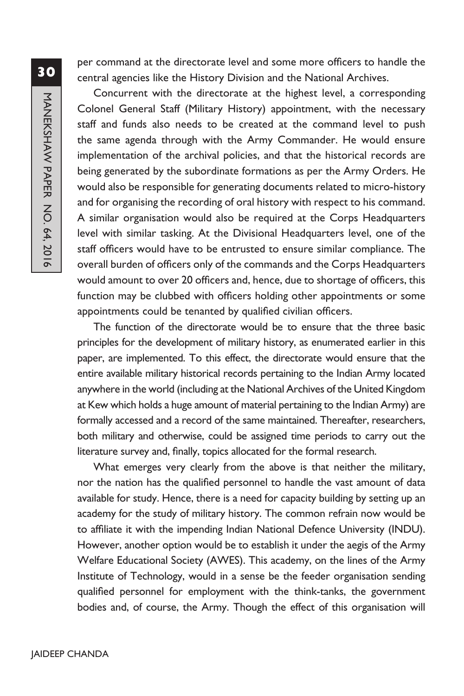per command at the directorate level and some more officers to handle the central agencies like the History Division and the National Archives.

Concurrent with the directorate at the highest level, a corresponding Colonel General Staff (Military History) appointment, with the necessary staff and funds also needs to be created at the command level to push the same agenda through with the Army Commander. He would ensure implementation of the archival policies, and that the historical records are being generated by the subordinate formations as per the Army Orders. He would also be responsible for generating documents related to micro-history and for organising the recording of oral history with respect to his command. A similar organisation would also be required at the Corps Headquarters level with similar tasking. At the Divisional Headquarters level, one of the staff officers would have to be entrusted to ensure similar compliance. The overall burden of officers only of the commands and the Corps Headquarters would amount to over 20 officers and, hence, due to shortage of officers, this function may be clubbed with officers holding other appointments or some appointments could be tenanted by qualified civilian officers.

The function of the directorate would be to ensure that the three basic principles for the development of military history, as enumerated earlier in this paper, are implemented. To this effect, the directorate would ensure that the entire available military historical records pertaining to the Indian Army located anywhere in the world (including at the National Archives of the United Kingdom at Kew which holds a huge amount of material pertaining to the Indian Army) are formally accessed and a record of the same maintained. Thereafter, researchers, both military and otherwise, could be assigned time periods to carry out the literature survey and, finally, topics allocated for the formal research.

What emerges very clearly from the above is that neither the military, nor the nation has the qualified personnel to handle the vast amount of data available for study. Hence, there is a need for capacity building by setting up an academy for the study of military history. The common refrain now would be to affiliate it with the impending Indian National Defence University (INDU). However, another option would be to establish it under the aegis of the Army Welfare Educational Society (AWES). This academy, on the lines of the Army Institute of Technology, would in a sense be the feeder organisation sending qualified personnel for employment with the think-tanks, the government bodies and, of course, the Army. Though the effect of this organisation will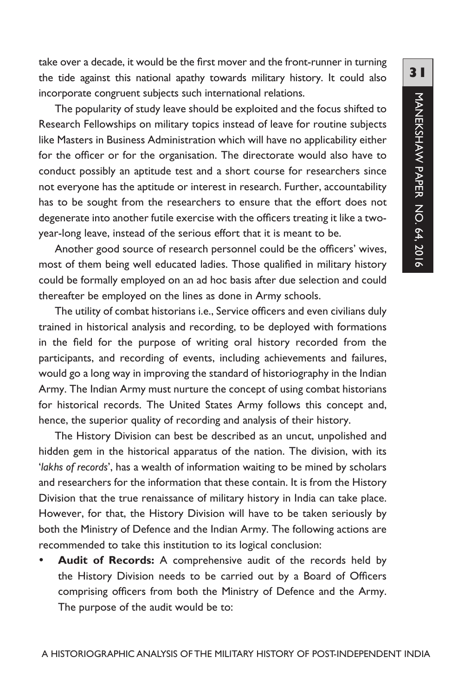take over a decade, it would be the first mover and the front-runner in turning the tide against this national apathy towards military history. It could also incorporate congruent subjects such international relations.

The popularity of study leave should be exploited and the focus shifted to Research Fellowships on military topics instead of leave for routine subjects like Masters in Business Administration which will have no applicability either for the officer or for the organisation. The directorate would also have to conduct possibly an aptitude test and a short course for researchers since not everyone has the aptitude or interest in research. Further, accountability has to be sought from the researchers to ensure that the effort does not degenerate into another futile exercise with the officers treating it like a twoyear-long leave, instead of the serious effort that it is meant to be.

Another good source of research personnel could be the officers' wives, most of them being well educated ladies. Those qualified in military history could be formally employed on an ad hoc basis after due selection and could thereafter be employed on the lines as done in Army schools.

The utility of combat historians i.e., Service officers and even civilians duly trained in historical analysis and recording, to be deployed with formations in the field for the purpose of writing oral history recorded from the participants, and recording of events, including achievements and failures, would go a long way in improving the standard of historiography in the Indian Army. The Indian Army must nurture the concept of using combat historians for historical records. The United States Army follows this concept and, hence, the superior quality of recording and analysis of their history.

The History Division can best be described as an uncut, unpolished and hidden gem in the historical apparatus of the nation. The division, with its '*lakhs of records*', has a wealth of information waiting to be mined by scholars and researchers for the information that these contain. It is from the History Division that the true renaissance of military history in India can take place. However, for that, the History Division will have to be taken seriously by both the Ministry of Defence and the Indian Army. The following actions are recommended to take this institution to its logical conclusion:

Audit of Records: A comprehensive audit of the records held by the History Division needs to be carried out by a Board of Officers comprising officers from both the Ministry of Defence and the Army. The purpose of the audit would be to: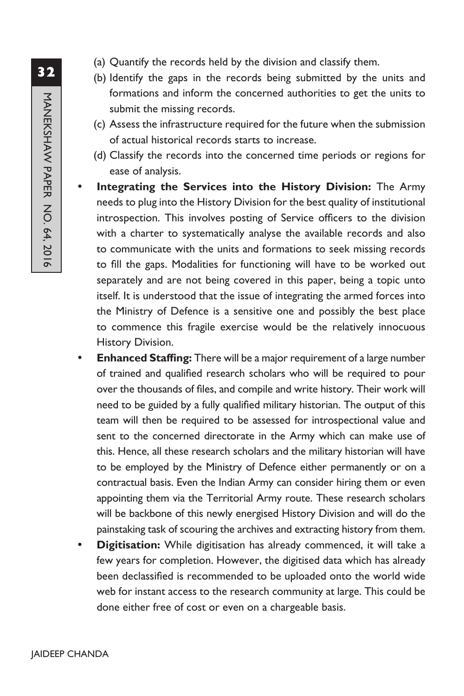- (a) Quantify the records held by the division and classify them.
- (b) Identify the gaps in the records being submitted by the units and formations and inform the concerned authorities to get the units to submit the missing records.
- (c) Assess the infrastructure required for the future when the submission of actual historical records starts to increase.
- (d) Classify the records into the concerned time periods or regions for ease of analysis.
- Integrating the Services into the History Division: The Army needs to plug into the History Division for the best quality of institutional introspection. This involves posting of Service officers to the division with a charter to systematically analyse the available records and also to communicate with the units and formations to seek missing records to fill the gaps. Modalities for functioning will have to be worked out separately and are not being covered in this paper, being a topic unto itself. It is understood that the issue of integrating the armed forces into the Ministry of Defence is a sensitive one and possibly the best place to commence this fragile exercise would be the relatively innocuous History Division.
- **Enhanced Staffing:** There will be a major requirement of a large number of trained and qualified research scholars who will be required to pour over the thousands of files, and compile and write history. Their work will need to be guided by a fully qualified military historian. The output of this team will then be required to be assessed for introspectional value and sent to the concerned directorate in the Army which can make use of this. Hence, all these research scholars and the military historian will have to be employed by the Ministry of Defence either permanently or on a contractual basis. Even the Indian Army can consider hiring them or even appointing them via the Territorial Army route. These research scholars will be backbone of this newly energised History Division and will do the painstaking task of scouring the archives and extracting history from them.
- **Digitisation:** While digitisation has already commenced, it will take a few years for completion. However, the digitised data which has already been declassified is recommended to be uploaded onto the world wide web for instant access to the research community at large. This could be done either free of cost or even on a chargeable basis.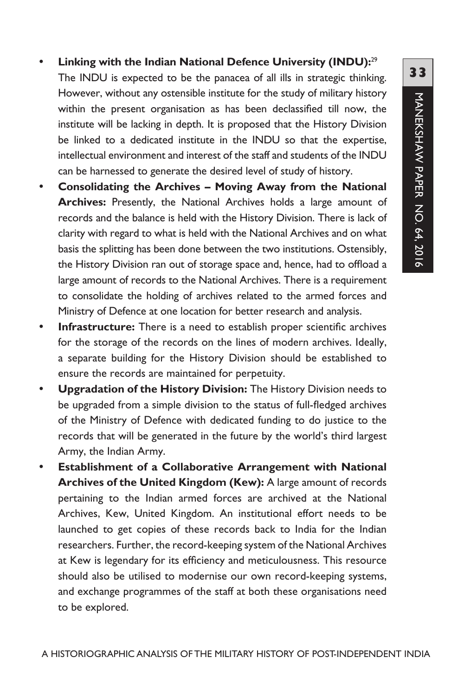- Linking with the Indian National Defence University (INDU):<sup>29</sup> The INDU is expected to be the panacea of all ills in strategic thinking. However, without any ostensible institute for the study of military history within the present organisation as has been declassified till now, the institute will be lacking in depth. It is proposed that the History Division be linked to a dedicated institute in the INDU so that the expertise, intellectual environment and interest of the staff and students of the INDU can be harnessed to generate the desired level of study of history.
- Consolidating the Archives Moving Away from the National **Archives:** Presently, the National Archives holds a large amount of records and the balance is held with the History Division. There is lack of clarity with regard to what is held with the National Archives and on what basis the splitting has been done between the two institutions. Ostensibly, the History Division ran out of storage space and, hence, had to offload a large amount of records to the National Archives. There is a requirement to consolidate the holding of archives related to the armed forces and Ministry of Defence at one location for better research and analysis.
- **Infrastructure:** There is a need to establish proper scientific archives for the storage of the records on the lines of modern archives. Ideally, a separate building for the History Division should be established to ensure the records are maintained for perpetuity.
- **Upgradation of the History Division:** The History Division needs to be upgraded from a simple division to the status of full-fledged archives of the Ministry of Defence with dedicated funding to do justice to the records that will be generated in the future by the world's third largest Army, the Indian Army.
- **Establishment of a Collaborative Arrangement with National Archives of the United Kingdom (Kew):** A large amount of records pertaining to the Indian armed forces are archived at the National Archives, Kew, United Kingdom. An institutional effort needs to be launched to get copies of these records back to India for the Indian researchers. Further, the record-keeping system of the National Archives at Kew is legendary for its efficiency and meticulousness. This resource should also be utilised to modernise our own record-keeping systems, and exchange programmes of the staff at both these organisations need to be explored.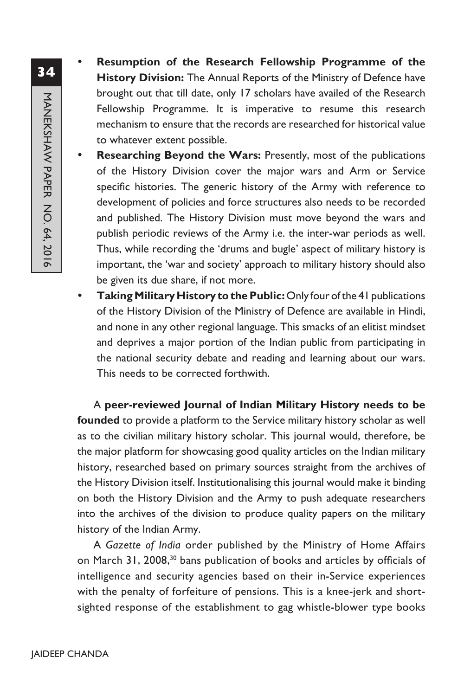- **Resumption of the Research Fellowship Programme of the History Division:** The Annual Reports of the Ministry of Defence have brought out that till date, only 17 scholars have availed of the Research Fellowship Programme. It is imperative to resume this research mechanism to ensure that the records are researched for historical value to whatever extent possible.
- Researching Beyond the Wars: Presently, most of the publications of the History Division cover the major wars and Arm or Service specific histories. The generic history of the Army with reference to development of policies and force structures also needs to be recorded and published. The History Division must move beyond the wars and publish periodic reviews of the Army i.e. the inter-war periods as well. Thus, while recording the 'drums and bugle' aspect of military history is important, the 'war and society' approach to military history should also be given its due share, if not more.
- **Taking Military History to the Public:** Only four of the 41 publications of the History Division of the Ministry of Defence are available in Hindi, and none in any other regional language. This smacks of an elitist mindset and deprives a major portion of the Indian public from participating in the national security debate and reading and learning about our wars. This needs to be corrected forthwith.

A **peer-reviewed Journal of Indian Military History needs to be founded** to provide a platform to the Service military history scholar as well as to the civilian military history scholar. This journal would, therefore, be the major platform for showcasing good quality articles on the Indian military history, researched based on primary sources straight from the archives of the History Division itself. Institutionalising this journal would make it binding on both the History Division and the Army to push adequate researchers into the archives of the division to produce quality papers on the military history of the Indian Army.

A *Gazette of India* order published by the Ministry of Home Affairs on March 31, 2008,<sup>30</sup> bans publication of books and articles by officials of intelligence and security agencies based on their in-Service experiences with the penalty of forfeiture of pensions. This is a knee-jerk and shortsighted response of the establishment to gag whistle-blower type books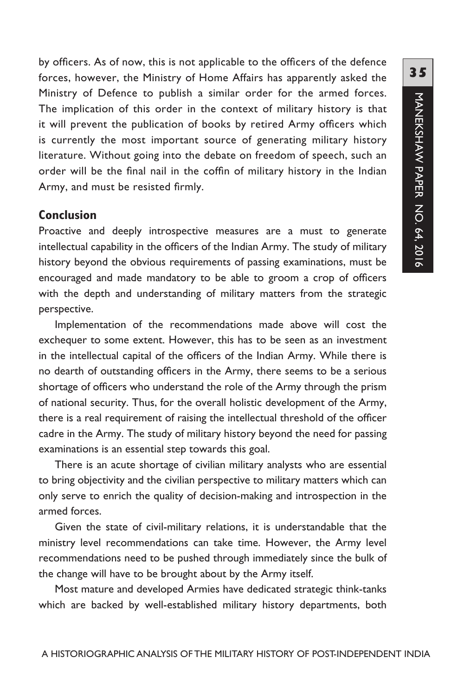by officers. As of now, this is not applicable to the officers of the defence forces, however, the Ministry of Home Affairs has apparently asked the Ministry of Defence to publish a similar order for the armed forces. The implication of this order in the context of military history is that it will prevent the publication of books by retired Army officers which is currently the most important source of generating military history literature. Without going into the debate on freedom of speech, such an order will be the final nail in the coffin of military history in the Indian Army, and must be resisted firmly.

# **Conclusion**

Proactive and deeply introspective measures are a must to generate intellectual capability in the officers of the Indian Army. The study of military history beyond the obvious requirements of passing examinations, must be encouraged and made mandatory to be able to groom a crop of officers with the depth and understanding of military matters from the strategic perspective.

Implementation of the recommendations made above will cost the exchequer to some extent. However, this has to be seen as an investment in the intellectual capital of the officers of the Indian Army. While there is no dearth of outstanding officers in the Army, there seems to be a serious shortage of officers who understand the role of the Army through the prism of national security. Thus, for the overall holistic development of the Army, there is a real requirement of raising the intellectual threshold of the officer cadre in the Army. The study of military history beyond the need for passing examinations is an essential step towards this goal.

There is an acute shortage of civilian military analysts who are essential to bring objectivity and the civilian perspective to military matters which can only serve to enrich the quality of decision-making and introspection in the armed forces.

Given the state of civil-military relations, it is understandable that the ministry level recommendations can take time. However, the Army level recommendations need to be pushed through immediately since the bulk of the change will have to be brought about by the Army itself.

Most mature and developed Armies have dedicated strategic think-tanks which are backed by well-established military history departments, both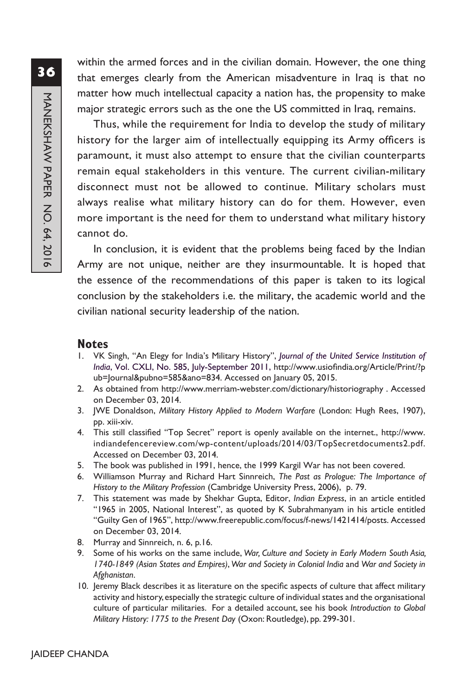within the armed forces and in the civilian domain. However, the one thing that emerges clearly from the American misadventure in Iraq is that no matter how much intellectual capacity a nation has, the propensity to make major strategic errors such as the one the US committed in Iraq, remains.

Thus, while the requirement for India to develop the study of military history for the larger aim of intellectually equipping its Army officers is paramount, it must also attempt to ensure that the civilian counterparts remain equal stakeholders in this venture. The current civilian-military disconnect must not be allowed to continue. Military scholars must always realise what military history can do for them. However, even more important is the need for them to understand what military history cannot do.

In conclusion, it is evident that the problems being faced by the Indian Army are not unique, neither are they insurmountable. It is hoped that the essence of the recommendations of this paper is taken to its logical conclusion by the stakeholders i.e. the military, the academic world and the civilian national security leadership of the nation.

#### **Notes**

- 1. VK Singh, "An Elegy for India's Military History", *Journal of the United Service Institution of India*, Vol. CXLI, No. 585, July-September 2011, http://www.usiofindia.org/Article/Print/?p ub=Journal&pubno=585&ano=834. Accessed on January 05, 2015.
- 2. As obtained from http://www.merriam-webster.com/dictionary/historiography . Accessed on December 03, 2014.
- 3. JWE Donaldson, *Military History Applied to Modern Warfare* (London: Hugh Rees, 1907), pp. xiii-xiv.
- 4. This still classified "Top Secret" report is openly available on the internet., http://www. indiandefencereview.com/wp-content/uploads/2014/03/TopSecretdocuments2.pdf. Accessed on December 03, 2014.
- 5. The book was published in 1991, hence, the 1999 Kargil War has not been covered.
- 6. Williamson Murray and Richard Hart Sinnreich, *The Past as Prologue: The Importance of History to the Military Profession* (Cambridge University Press, 2006),p. 79.
- 7. This statement was made by Shekhar Gupta, Editor, *Indian Express*, in an article entitled "1965 in 2005, National Interest", as quoted by K Subrahmanyam in his article entitled "Guilty Gen of 1965", http://www.freerepublic.com/focus/f-news/1421414/posts. Accessed on December 03, 2014.
- 8. Murray and Sinnreich, n. 6, p.16.
- 9. Some of his works on the same include, *War, Culture and Society in Early Modern South Asia, 1740-1849 (Asian States and Empires)*, *War and Society in Colonial India* and *War and Society in Afghanistan*.
- 10. Jeremy Black describes it as literature on the specific aspects of culture that affect military activity and history, especially the strategic culture of individual states and the organisational culture of particular militaries. For a detailed account, see his book *Introduction to Global Military History: 1775 to the Present Day* (Oxon: Routledge), pp. 299-301.